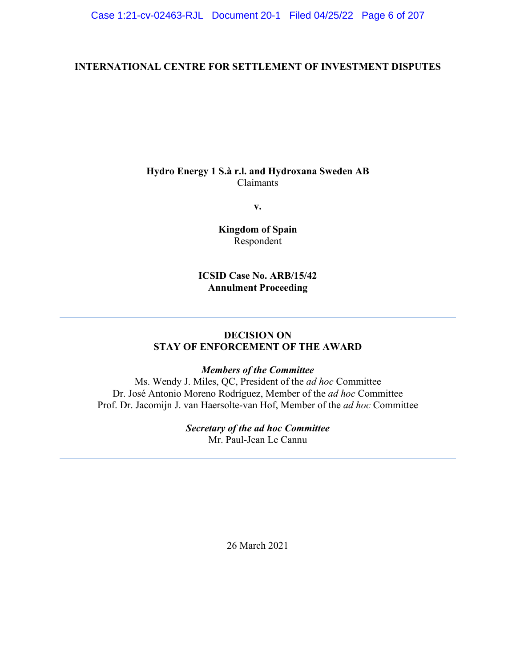# **INTERNATIONAL CENTRE FOR SETTLEMENT OF INVESTMENT DISPUTES**

# **Hydro Energy 1 S.à r.l. and Hydroxana Sweden AB** Claimants

**v.**

**Kingdom of Spain** Respondent

# **ICSID Case No. ARB/15/42 Annulment Proceeding**

# **DECISION ON STAY OF ENFORCEMENT OF THE AWARD**

# *Members of the Committee*

Ms. Wendy J. Miles, QC, President of the *ad hoc* Committee Dr. José Antonio Moreno Rodríguez, Member of the *ad hoc* Committee Prof. Dr. Jacomijn J. van Haersolte-van Hof, Member of the *ad hoc* Committee

# *Secretary of the ad hoc Committee*

Mr. Paul-Jean Le Cannu

26 March 2021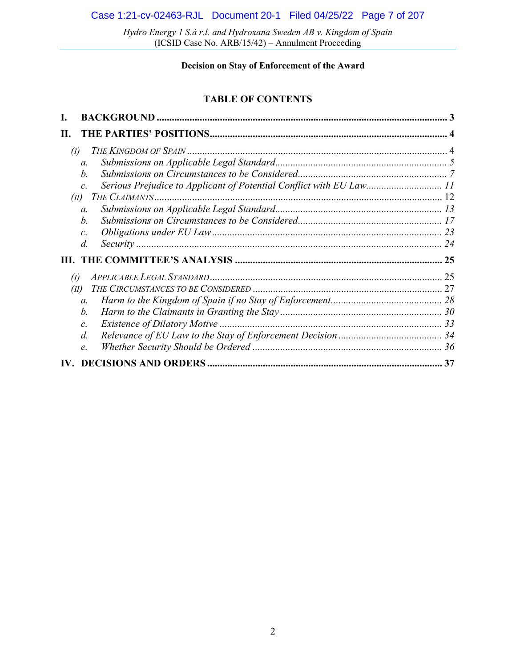### **Decision on Stay of Enforcement of the Award**

# **TABLE OF CONTENTS**

| II.                        |                                                                                        |    |
|----------------------------|----------------------------------------------------------------------------------------|----|
| $\left( \mathbf{I}\right)$ |                                                                                        |    |
|                            | $\mathfrak{a}$ .                                                                       |    |
|                            | b.                                                                                     |    |
|                            | Serious Prejudice to Applicant of Potential Conflict with EU Law 11<br>$\mathcal{C}$ . |    |
| (II)                       |                                                                                        |    |
|                            | $\mathfrak{a}$ .                                                                       |    |
|                            | b.                                                                                     |    |
|                            | $\mathcal{C}$ .                                                                        |    |
|                            | $d$ .                                                                                  |    |
|                            |                                                                                        |    |
| $\left( \mathbf{I}\right)$ |                                                                                        |    |
| (II)                       |                                                                                        |    |
|                            | $\mathfrak{a}$ .                                                                       |    |
|                            | $b$ .                                                                                  |    |
|                            | $\mathcal{C}$ .                                                                        |    |
|                            | $d$ .                                                                                  |    |
|                            | e.                                                                                     |    |
|                            |                                                                                        | 37 |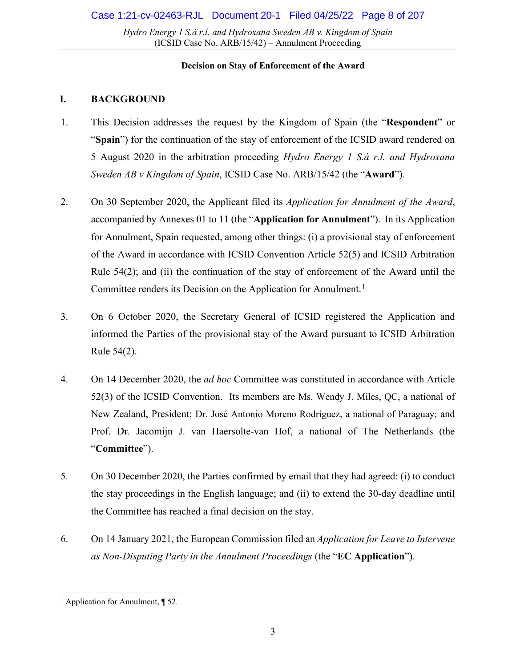### **Decision on Stay of Enforcement of the Award**

### <span id="page-2-0"></span>**I. BACKGROUND**

- 1. This Decision addresses the request by the Kingdom of Spain (the "**Respondent**" or "**Spain**") for the continuation of the stay of enforcement of the ICSID award rendered on 5 August 2020 in the arbitration proceeding *Hydro Energy 1 S.à r.l. and Hydroxana Sweden AB v Kingdom of Spain*, ICSID Case No. ARB/15/42 (the "**Award**").
- 2. On 30 September 2020, the Applicant filed its *Application for Annulment of the Award*, accompanied by Annexes 01 to 11 (the "**Application for Annulment**"). In its Application for Annulment, Spain requested, among other things: (i) a provisional stay of enforcement of the Award in accordance with ICSID Convention Article 52(5) and ICSID Arbitration Rule 54(2); and (ii) the continuation of the stay of enforcement of the Award until the Committee renders its Decision on the Application for Annulment.<sup>[1](#page-2-1)</sup>
- 3. On 6 October 2020, the Secretary General of ICSID registered the Application and informed the Parties of the provisional stay of the Award pursuant to ICSID Arbitration Rule 54(2).
- 4. On 14 December 2020, the *ad hoc* Committee was constituted in accordance with Article 52(3) of the ICSID Convention. Its members are Ms. Wendy J. Miles, QC, a national of New Zealand, President; Dr. José Antonio Moreno Rodríguez, a national of Paraguay; and Prof. Dr. Jacomijn J. van Haersolte-van Hof, a national of The Netherlands (the "**Committee**").
- 5. On 30 December 2020, the Parties confirmed by email that they had agreed: (i) to conduct the stay proceedings in the English language; and (ii) to extend the 30-day deadline until the Committee has reached a final decision on the stay.
- 6. On 14 January 2021, the European Commission filed an *Application for Leave to Intervene as Non-Disputing Party in the Annulment Proceedings* (the "**EC Application**").

<span id="page-2-1"></span><sup>&</sup>lt;sup>1</sup> Application for Annulment,  $\P$  52.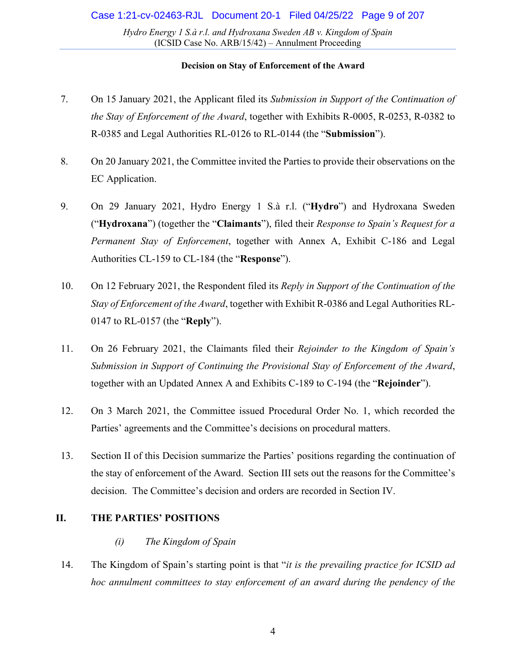### **Decision on Stay of Enforcement of the Award**

- 7. On 15 January 2021, the Applicant filed its *Submission in Support of the Continuation of the Stay of Enforcement of the Award*, together with Exhibits R-0005, R-0253, R-0382 to R-0385 and Legal Authorities RL-0126 to RL-0144 (the "**Submission**").
- 8. On 20 January 2021, the Committee invited the Parties to provide their observations on the EC Application.
- 9. On 29 January 2021, Hydro Energy 1 S.à r.l. ("**Hydro**") and Hydroxana Sweden ("**Hydroxana**") (together the "**Claimants**"), filed their *Response to Spain's Request for a Permanent Stay of Enforcement*, together with Annex A, Exhibit C-186 and Legal Authorities CL-159 to CL-184 (the "**Response**").
- 10. On 12 February 2021, the Respondent filed its *Reply in Support of the Continuation of the Stay of Enforcement of the Award*, together with Exhibit R-0386 and Legal Authorities RL-0147 to RL-0157 (the "**Reply**").
- 11. On 26 February 2021, the Claimants filed their *Rejoinder to the Kingdom of Spain's Submission in Support of Continuing the Provisional Stay of Enforcement of the Award*, together with an Updated Annex A and Exhibits C-189 to C-194 (the "**Rejoinder**").
- 12. On 3 March 2021, the Committee issued Procedural Order No. 1, which recorded the Parties' agreements and the Committee's decisions on procedural matters.
- 13. Section II of this Decision summarize the Parties' positions regarding the continuation of the stay of enforcement of the Award. Section III sets out the reasons for the Committee's decision. The Committee's decision and orders are recorded in Section IV.

# <span id="page-3-1"></span><span id="page-3-0"></span>**II. THE PARTIES' POSITIONS**

### *(i) The Kingdom of Spain*

14. The Kingdom of Spain's starting point is that "*it is the prevailing practice for ICSID ad hoc annulment committees to stay enforcement of an award during the pendency of the*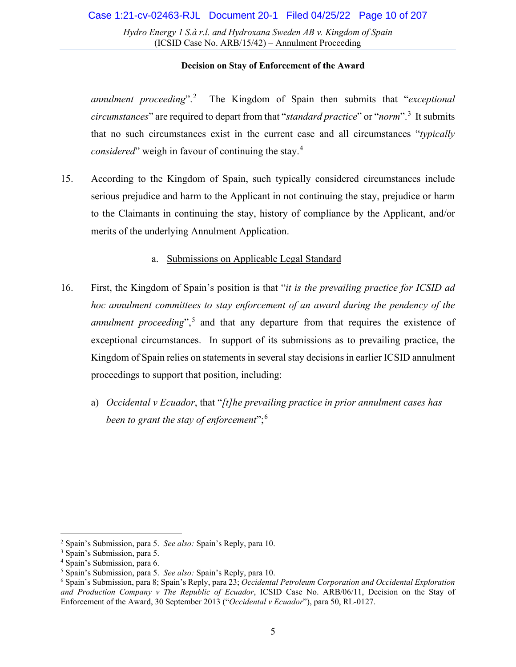### **Decision on Stay of Enforcement of the Award**

*annulment proceeding*".[2](#page-4-1) The Kingdom of Spain then submits that "*exceptional circumstances*" are required to depart from that "*standard practice*" or "*norm*".[3](#page-4-2) It submits that no such circumstances exist in the current case and all circumstances "*typically considered*" weigh in favour of continuing the stay.[4](#page-4-3)

15. According to the Kingdom of Spain, such typically considered circumstances include serious prejudice and harm to the Applicant in not continuing the stay, prejudice or harm to the Claimants in continuing the stay, history of compliance by the Applicant, and/or merits of the underlying Annulment Application.

### a. Submissions on Applicable Legal Standard

- <span id="page-4-0"></span>16. First, the Kingdom of Spain's position is that "*it is the prevailing practice for ICSID ad hoc annulment committees to stay enforcement of an award during the pendency of the annulment proceeding*",<sup>[5](#page-4-4)</sup> and that any departure from that requires the existence of exceptional circumstances. In support of its submissions as to prevailing practice, the Kingdom of Spain relies on statements in several stay decisions in earlier ICSID annulment proceedings to support that position, including:
	- a) *Occidental v Ecuador*, that "*[t]he prevailing practice in prior annulment cases has been to grant the stay of enforcement*";[6](#page-4-5)

<span id="page-4-1"></span><sup>2</sup> Spain's Submission, para 5. *See also:* Spain's Reply, para 10.

<span id="page-4-2"></span><sup>3</sup> Spain's Submission, para 5.

<span id="page-4-3"></span><sup>4</sup> Spain's Submission, para 6.

<span id="page-4-4"></span><sup>5</sup> Spain's Submission, para 5. *See also:* Spain's Reply, para 10.

<span id="page-4-5"></span><sup>6</sup> Spain's Submission, para 8; Spain's Reply, para 23; *Occidental Petroleum Corporation and Occidental Exploration and Production Company v The Republic of Ecuador*, ICSID Case No. ARB/06/11, Decision on the Stay of Enforcement of the Award, 30 September 2013 ("*Occidental v Ecuador*"), para 50, RL-0127.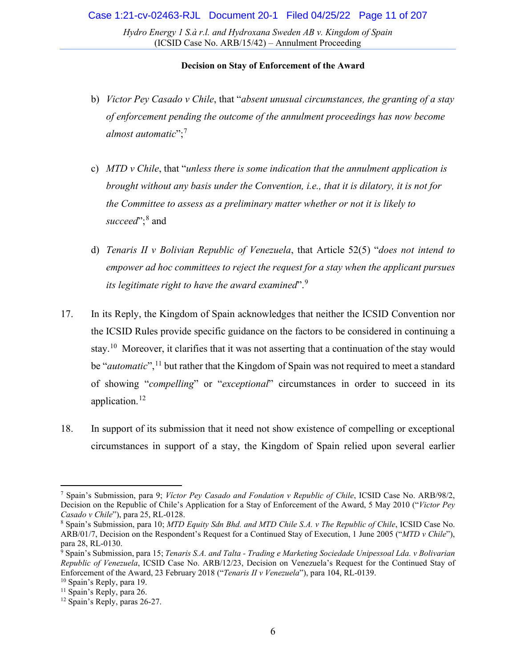- b) *Victor Pey Casado v Chile*, that "*absent unusual circumstances, the granting of a stay of enforcement pending the outcome of the annulment proceedings has now become almost automatic*";[7](#page-5-0)
- c) *MTD v Chile*, that "*unless there is some indication that the annulment application is brought without any basis under the Convention, i.e., that it is dilatory, it is not for the Committee to assess as a preliminary matter whether or not it is likely to*  succeed";[8](#page-5-1) and
- d) *Tenaris II v Bolivian Republic of Venezuela*, that Article 52(5) "*does not intend to empower ad hoc committees to reject the request for a stay when the applicant pursues its legitimate right to have the award examined*".[9](#page-5-2)
- 17. In its Reply, the Kingdom of Spain acknowledges that neither the ICSID Convention nor the ICSID Rules provide specific guidance on the factors to be considered in continuing a stay.<sup>10</sup> Moreover, it clarifies that it was not asserting that a continuation of the stay would be "*automatic*",<sup>[11](#page-5-4)</sup> but rather that the Kingdom of Spain was not required to meet a standard of showing "*compelling*" or "*exceptional*" circumstances in order to succeed in its application.[12](#page-5-5)
- 18. In support of its submission that it need not show existence of compelling or exceptional circumstances in support of a stay, the Kingdom of Spain relied upon several earlier

<span id="page-5-0"></span><sup>7</sup> Spain's Submission, para 9; *Víctor Pey Casado and Fondation v Republic of Chile*, ICSID Case No. ARB/98/2, Decision on the Republic of Chile's Application for a Stay of Enforcement of the Award, 5 May 2010 ("*Victor Pey Casado v Chile*"), para 25, RL-0128.

<span id="page-5-1"></span><sup>8</sup> Spain's Submission, para 10; *MTD Equity Sdn Bhd. and MTD Chile S.A. v The Republic of Chile*, ICSID Case No. ARB/01/7, Decision on the Respondent's Request for a Continued Stay of Execution, 1 June 2005 ("*MTD v Chile*"), para 28, RL-0130.

<span id="page-5-2"></span><sup>9</sup> Spain's Submission, para 15; *Tenaris S.A. and Talta - Trading e Marketing Sociedade Unipessoal Lda. v Bolivarian Republic of Venezuela*, ICSID Case No. ARB/12/23, Decision on Venezuela's Request for the Continued Stay of Enforcement of the Award, 23 February 2018 ("*Tenaris II v Venezuela*"), para 104, RL-0139.

<span id="page-5-3"></span><sup>&</sup>lt;sup>10</sup> Spain's Reply, para 19.

<span id="page-5-5"></span><span id="page-5-4"></span><sup>&</sup>lt;sup>11</sup> Spain's Reply, para 26. <sup>12</sup> Spain's Reply, paras 26-27.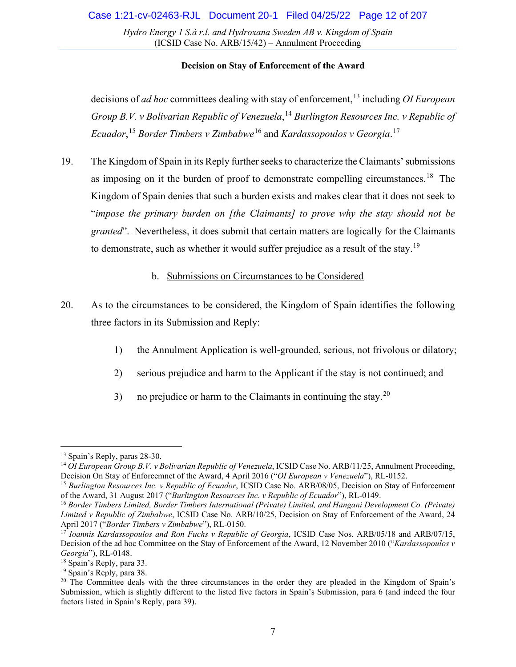### **Decision on Stay of Enforcement of the Award**

decisions of *ad hoc* committees dealing with stay of enforcement,<sup>[13](#page-6-1)</sup> including *OI European Group B.V. v Bolivarian Republic of Venezuela*, [14](#page-6-2) *Burlington Resources Inc. v Republic of Ecuador*, [15](#page-6-3) *Border Timbers v Zimbabwe*[16](#page-6-4) and *Kardassopoulos v Georgia*. [17](#page-6-5)

19. The Kingdom of Spain in its Reply further seeks to characterize the Claimants' submissions as imposing on it the burden of proof to demonstrate compelling circumstances.<sup>[18](#page-6-6)</sup> The Kingdom of Spain denies that such a burden exists and makes clear that it does not seek to "*impose the primary burden on [the Claimants] to prove why the stay should not be granted*". Nevertheless, it does submit that certain matters are logically for the Claimants to demonstrate, such as whether it would suffer prejudice as a result of the stay.<sup>[19](#page-6-7)</sup>

### b. Submissions on Circumstances to be Considered

- <span id="page-6-0"></span>20. As to the circumstances to be considered, the Kingdom of Spain identifies the following three factors in its Submission and Reply:
	- 1) the Annulment Application is well-grounded, serious, not frivolous or dilatory;
	- 2) serious prejudice and harm to the Applicant if the stay is not continued; and
	- 3) no prejudice or harm to the Claimants in continuing the stay.<sup>[20](#page-6-8)</sup>

<sup>13</sup> Spain's Reply, paras 28-30.

<span id="page-6-2"></span><span id="page-6-1"></span><sup>14</sup> *OI European Group B.V. v Bolivarian Republic of Venezuela*, ICSID Case No. ARB/11/25, Annulment Proceeding, Decision On Stay of Enforcemnet of the Award, 4 April 2016 ("*OI European v Venezuela*"), RL-0152.

<span id="page-6-3"></span><sup>15</sup> *Burlington Resources Inc. v Republic of Ecuador*, ICSID Case No. ARB/08/05, Decision on Stay of Enforcement of the Award, 31 August 2017 ("*Burlington Resources Inc. v Republic of Ecuador*"), RL-0149.

<span id="page-6-4"></span><sup>16</sup> *Border Timbers Limited, Border Timbers International (Private) Limited, and Hangani Development Co. (Private) Limited v Republic of Zimbabwe*, ICSID Case No. ARB/10/25, Decision on Stay of Enforcement of the Award, 24 April 2017 ("*Border Timbers v Zimbabwe*"), RL-0150.

<span id="page-6-5"></span><sup>17</sup> *Ioannis Kardassopoulos and Ron Fuchs v Republic of Georgia*, ICSID Case Nos. ARB/05/18 and ARB/07/15, Decision of the ad hoc Committee on the Stay of Enforcement of the Award, 12 November 2010 ("*Kardassopoulos v Georgia*"), RL-0148.

<span id="page-6-6"></span> $18$  Spain's Reply, para 33.<br> $19$  Spain's Reply, para 38.

<span id="page-6-8"></span><span id="page-6-7"></span> $20$  The Committee deals with the three circumstances in the order they are pleaded in the Kingdom of Spain's Submission, which is slightly different to the listed five factors in Spain's Submission, para 6 (and indeed the four factors listed in Spain's Reply, para 39).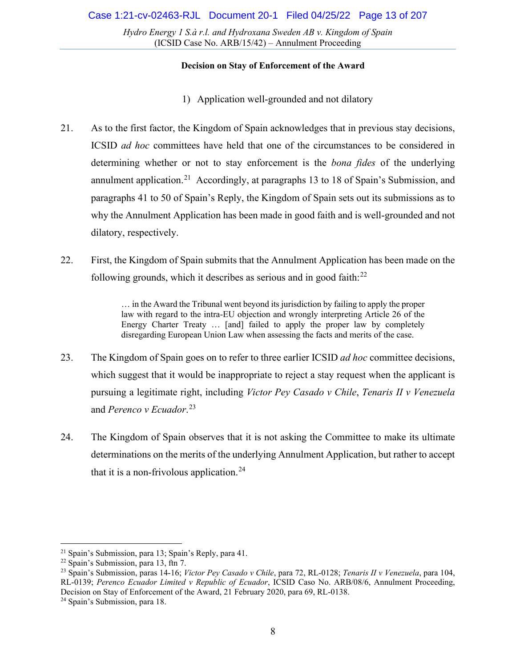### **Decision on Stay of Enforcement of the Award**

- 1) Application well-grounded and not dilatory
- 21. As to the first factor, the Kingdom of Spain acknowledges that in previous stay decisions, ICSID *ad hoc* committees have held that one of the circumstances to be considered in determining whether or not to stay enforcement is the *bona fides* of the underlying annulment application.<sup>21</sup> Accordingly, at paragraphs 13 to 18 of Spain's Submission, and paragraphs 41 to 50 of Spain's Reply, the Kingdom of Spain sets out its submissions as to why the Annulment Application has been made in good faith and is well-grounded and not dilatory, respectively.
- 22. First, the Kingdom of Spain submits that the Annulment Application has been made on the following grounds, which it describes as serious and in good faith: $^{22}$  $^{22}$  $^{22}$

… in the Award the Tribunal went beyond its jurisdiction by failing to apply the proper law with regard to the intra-EU objection and wrongly interpreting Article 26 of the Energy Charter Treaty … [and] failed to apply the proper law by completely disregarding European Union Law when assessing the facts and merits of the case.

- 23. The Kingdom of Spain goes on to refer to three earlier ICSID *ad hoc* committee decisions, which suggest that it would be inappropriate to reject a stay request when the applicant is pursuing a legitimate right, including *Victor Pey Casado v Chile*, *Tenaris II v Venezuela*  and *Perenco v Ecuador*. [23](#page-7-2)
- 24. The Kingdom of Spain observes that it is not asking the Committee to make its ultimate determinations on the merits of the underlying Annulment Application, but rather to accept that it is a non-frivolous application.<sup>[24](#page-7-3)</sup>

<span id="page-7-0"></span><sup>21</sup> Spain's Submission, para 13; Spain's Reply, para 41.

<span id="page-7-1"></span> $22$  Spain's Submission, para 13, ftn 7.

<span id="page-7-2"></span><sup>23</sup> Spain's Submission, paras 14-16; *Victor Pey Casado v Chile*, para 72, RL-0128; *Tenaris II v Venezuela*, para 104, RL-0139; *Perenco Ecuador Limited v Republic of Ecuador*, ICSID Caso No. ARB/08/6, Annulment Proceeding, Decision on Stay of Enforcement of the Award, 21 February 2020, para 69, RL-0138.

<span id="page-7-3"></span><sup>24</sup> Spain's Submission, para 18.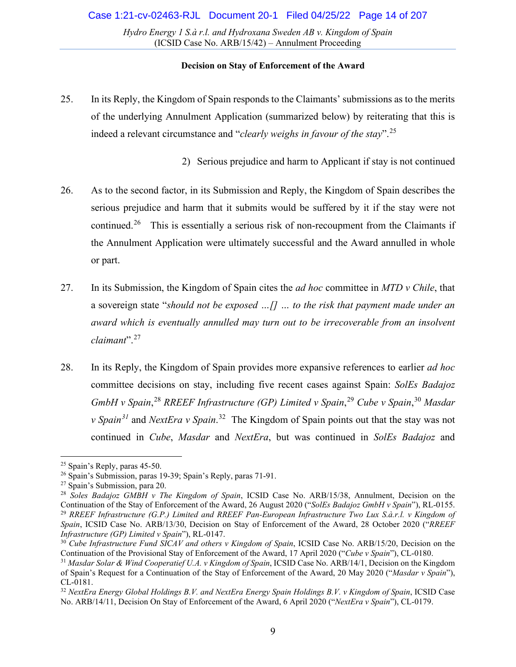### **Decision on Stay of Enforcement of the Award**

25. In its Reply, the Kingdom of Spain responds to the Claimants' submissions as to the merits of the underlying Annulment Application (summarized below) by reiterating that this is indeed a relevant circumstance and "*clearly weighs in favour of the stay*". [25](#page-8-0)

2) Serious prejudice and harm to Applicant if stay is not continued

- 26. As to the second factor, in its Submission and Reply, the Kingdom of Spain describes the serious prejudice and harm that it submits would be suffered by it if the stay were not continued.<sup>[26](#page-8-1)</sup> This is essentially a serious risk of non-recoupment from the Claimants if the Annulment Application were ultimately successful and the Award annulled in whole or part.
- 27. In its Submission, the Kingdom of Spain cites the *ad hoc* committee in *MTD v Chile*, that a sovereign state "*should not be exposed …[] … to the risk that payment made under an award which is eventually annulled may turn out to be irrecoverable from an insolvent claimant*". [27](#page-8-2)
- 28. In its Reply, the Kingdom of Spain provides more expansive references to earlier *ad hoc*  committee decisions on stay, including five recent cases against Spain: *SolEs Badajoz GmbH v Spain*, [28](#page-8-3) *RREEF Infrastructure (GP) Limited v Spain*, [29](#page-8-4) *Cube v Spain*, [30](#page-8-5) *Masdar v Spain[31](#page-8-6)* and *NextEra v Spain*. [32](#page-8-7) The Kingdom of Spain points out that the stay was not continued in *Cube*, *Masdar* and *NextEra*, but was continued in *SolEs Badajoz* and

<span id="page-8-0"></span><sup>25</sup> Spain's Reply, paras 45-50.

<span id="page-8-1"></span><sup>26</sup> Spain's Submission, paras 19-39; Spain's Reply, paras 71-91.

<span id="page-8-2"></span><sup>27</sup> Spain's Submission, para 20.

<span id="page-8-4"></span><span id="page-8-3"></span><sup>&</sup>lt;sup>28</sup> Soles Badajoz GMBH v The Kingdom of Spain, ICSID Case No. ARB/15/38, Annulment, Decision on the Continuation of the Stay of Enforcement of the Award, 26 August 2020 ("SolEs Badajoz GmbH v Spain"), RL-0155. <sup>29</sup> RREEF Infrastructure (G.P.) Limited and RREEF Pan-European Infrastructure Two Lux S.à.r.l. v Kingdom of *Spain*, ICSID Case No. ARB/13/30, Decision on Stay of Enforcement of the Award, 28 October 2020 ("*RREEF Infrastructure (GP) Limited v Spain*"), RL-0147.

<span id="page-8-5"></span><sup>&</sup>lt;sup>30</sup> *Cube Infrastructure Fund SICAV and others v Kingdom of Spain*, ICSID Case No. ARB/15/20, Decision on the Continuation of the Provisional Stay of Enforcement of the Award, 17 April 2020 ("*Cube v Spain*"), CL-0180.

<span id="page-8-6"></span><sup>31</sup> *Masdar Solar & Wind Cooperatief U.A. v Kingdom of Spain*, ICSID Case No. ARB/14/1, Decision on the Kingdom of Spain's Request for a Continuation of the Stay of Enforcement of the Award, 20 May 2020 ("*Masdar v Spain*"), CL-0181.

<span id="page-8-7"></span><sup>32</sup> *NextEra Energy Global Holdings B.V. and NextEra Energy Spain Holdings B.V. v Kingdom of Spain*, ICSID Case No. ARB/14/11, Decision On Stay of Enforcement of the Award, 6 April 2020 ("*NextEra v Spain*"), CL-0179.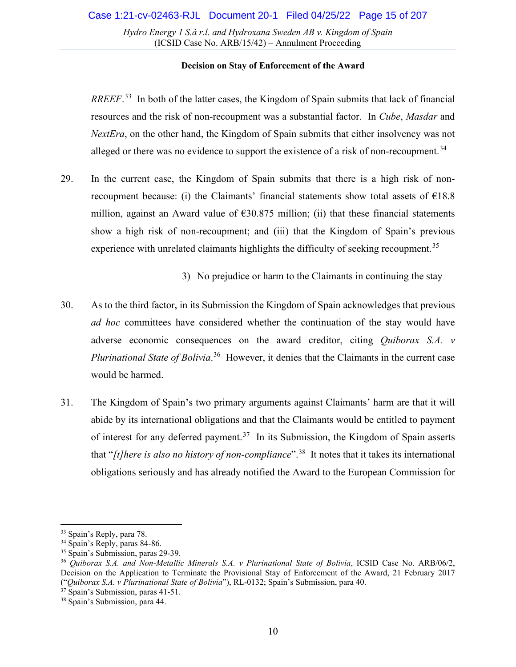### **Decision on Stay of Enforcement of the Award**

*RREEF*. [33](#page-9-0) In both of the latter cases, the Kingdom of Spain submits that lack of financial resources and the risk of non-recoupment was a substantial factor. In *Cube*, *Masdar* and *NextEra*, on the other hand, the Kingdom of Spain submits that either insolvency was not alleged or there was no evidence to support the existence of a risk of non-recoupment.<sup>[34](#page-9-1)</sup>

29. In the current case, the Kingdom of Spain submits that there is a high risk of nonrecoupment because: (i) the Claimants' financial statements show total assets of  $E18.8$ million, against an Award value of  $\epsilon$ 30.875 million; (ii) that these financial statements show a high risk of non-recoupment; and (iii) that the Kingdom of Spain's previous experience with unrelated claimants highlights the difficulty of seeking recoupment.<sup>[35](#page-9-2)</sup>

3) No prejudice or harm to the Claimants in continuing the stay

- 30. As to the third factor, in its Submission the Kingdom of Spain acknowledges that previous *ad hoc* committees have considered whether the continuation of the stay would have adverse economic consequences on the award creditor, citing *Quiborax S.A. v Plurinational State of Bolivia*. [36](#page-9-3) However, it denies that the Claimants in the current case would be harmed.
- 31. The Kingdom of Spain's two primary arguments against Claimants' harm are that it will abide by its international obligations and that the Claimants would be entitled to payment of interest for any deferred payment.<sup>37</sup> In its Submission, the Kingdom of Spain asserts that "*[t]here is also no history of non-compliance*". [38](#page-9-5) It notes that it takes its international obligations seriously and has already notified the Award to the European Commission for

<span id="page-9-0"></span><sup>&</sup>lt;sup>33</sup> Spain's Reply, para 78.

<span id="page-9-1"></span><sup>&</sup>lt;sup>34</sup> Spain's Reply, paras 84-86.

<span id="page-9-2"></span><sup>35</sup> Spain's Submission, paras 29-39.

<span id="page-9-3"></span><sup>36</sup> *Quiborax S.A. and Non-Metallic Minerals S.A. v Plurinational State of Bolivia*, ICSID Case No. ARB/06/2, Decision on the Application to Terminate the Provisional Stay of Enforcement of the Award, 21 February 2017 ("*Quiborax S.A. v Plurinational State of Bolivia*"), RL-0132; Spain's Submission, para 40.

<span id="page-9-4"></span> $37$  Spain's Submission, paras 41-51.

<span id="page-9-5"></span><sup>38</sup> Spain's Submission, para 44.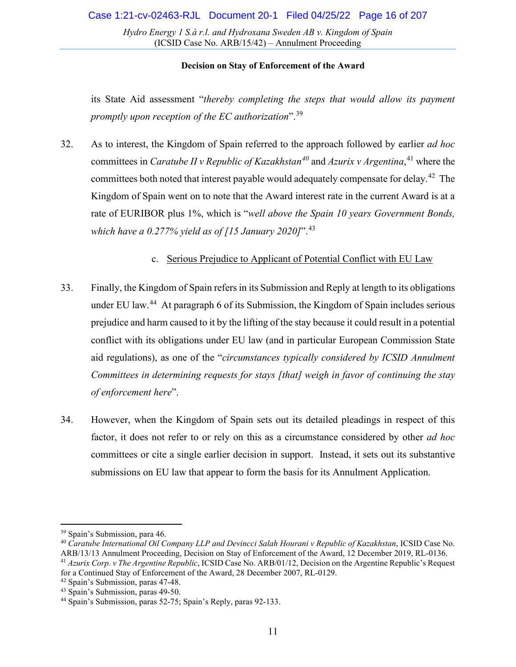#### **Decision on Stay of Enforcement of the Award**

its State Aid assessment "*thereby completing the steps that would allow its payment promptly upon reception of the EC authorization*". [39](#page-10-1)

32. As to interest, the Kingdom of Spain referred to the approach followed by earlier *ad hoc*  committees in *Caratube II v Republic of Kazakhstan[40](#page-10-2)* and *Azurix v Argentina*, [41](#page-10-3) where the committees both noted that interest payable would adequately compensate for delay.<sup>42</sup> The Kingdom of Spain went on to note that the Award interest rate in the current Award is at a rate of EURIBOR plus 1%, which is "*well above the Spain 10 years Government Bonds, which have a 0.277% yield as of [15 January 2020]*".[43](#page-10-5)

### c. Serious Prejudice to Applicant of Potential Conflict with EU Law

- <span id="page-10-0"></span>33. Finally, the Kingdom of Spain refers in its Submission and Reply at length to its obligations under EU law.<sup>[44](#page-10-6)</sup> At paragraph 6 of its Submission, the Kingdom of Spain includes serious prejudice and harm caused to it by the lifting of the stay because it could result in a potential conflict with its obligations under EU law (and in particular European Commission State aid regulations), as one of the "*circumstances typically considered by ICSID Annulment Committees in determining requests for stays [that] weigh in favor of continuing the stay of enforcement here*".
- 34. However, when the Kingdom of Spain sets out its detailed pleadings in respect of this factor, it does not refer to or rely on this as a circumstance considered by other *ad hoc*  committees or cite a single earlier decision in support. Instead, it sets out its substantive submissions on EU law that appear to form the basis for its Annulment Application.

<span id="page-10-1"></span><sup>39</sup> Spain's Submission, para 46.

<span id="page-10-2"></span><sup>40</sup> *Caratube International Oil Company LLP and Devincci Salah Hourani v Republic of Kazakhstan*, ICSID Case No. ARB/13/13 Annulment Proceeding, Decision on Stay of Enforcement of the Award, 12 December 2019, RL-0136.

<span id="page-10-3"></span><sup>41</sup> *Azurix Corp. v The Argentine Republic*, ICSID Case No. ARB/01/12, Decision on the Argentine Republic's Request for a Continued Stay of Enforcement of the Award, 28 December 2007, RL-0129.

<span id="page-10-4"></span><sup>42</sup> Spain's Submission, paras 47-48.

<span id="page-10-5"></span><sup>&</sup>lt;sup>43</sup> Spain's Submission, paras 49-50.

<span id="page-10-6"></span><sup>44</sup> Spain's Submission, paras 52-75; Spain's Reply, paras 92-133.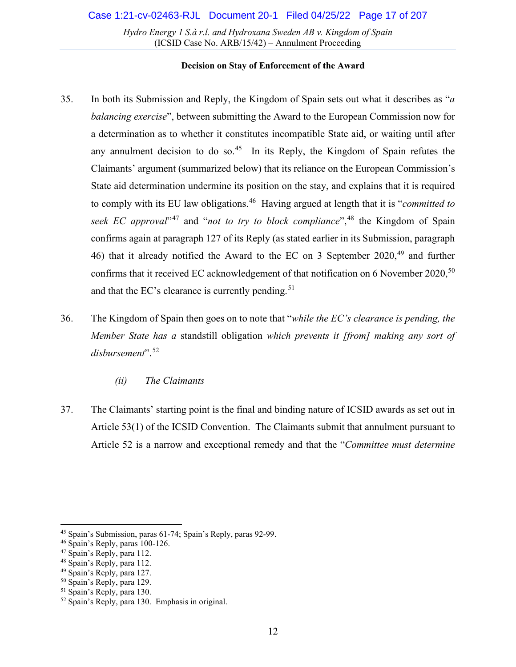- 35. In both its Submission and Reply, the Kingdom of Spain sets out what it describes as "*a balancing exercise*", between submitting the Award to the European Commission now for a determination as to whether it constitutes incompatible State aid, or waiting until after any annulment decision to do so.<sup>[45](#page-11-1)</sup> In its Reply, the Kingdom of Spain refutes the Claimants' argument (summarized below) that its reliance on the European Commission's State aid determination undermine its position on the stay, and explains that it is required to comply with its EU law obligations.[46](#page-11-2) Having argued at length that it is "*committed to seek EC approval*<sup>[47](#page-11-3)</sup> and "*not to try to block compliance*",<sup>[48](#page-11-4)</sup> the Kingdom of Spain confirms again at paragraph 127 of its Reply (as stated earlier in its Submission, paragraph 46) that it already notified the Award to the EC on 3 September 2020,<sup>[49](#page-11-5)</sup> and further confirms that it received EC acknowledgement of that notification on 6 November 2020,<sup>[50](#page-11-6)</sup> and that the EC's clearance is currently pending.<sup>[51](#page-11-7)</sup>
- 36. The Kingdom of Spain then goes on to note that "*while the EC's clearance is pending, the Member State has a* standstill obligation *which prevents it [from] making any sort of disbursement*". [52](#page-11-8)
	- *(ii) The Claimants*
- <span id="page-11-0"></span>37. The Claimants' starting point is the final and binding nature of ICSID awards as set out in Article 53(1) of the ICSID Convention. The Claimants submit that annulment pursuant to Article 52 is a narrow and exceptional remedy and that the "*Committee must determine*

<span id="page-11-1"></span><sup>45</sup> Spain's Submission, paras 61-74; Spain's Reply, paras 92-99.

<span id="page-11-2"></span><sup>46</sup> Spain's Reply, paras 100-126.

<span id="page-11-3"></span><sup>47</sup> Spain's Reply, para 112.

<span id="page-11-4"></span><sup>48</sup> Spain's Reply, para 112.

<span id="page-11-5"></span><sup>49</sup> Spain's Reply, para 127.

<span id="page-11-6"></span><sup>50</sup> Spain's Reply, para 129.

<span id="page-11-7"></span><sup>51</sup> Spain's Reply, para 130.

<span id="page-11-8"></span><sup>52</sup> Spain's Reply, para 130. Emphasis in original.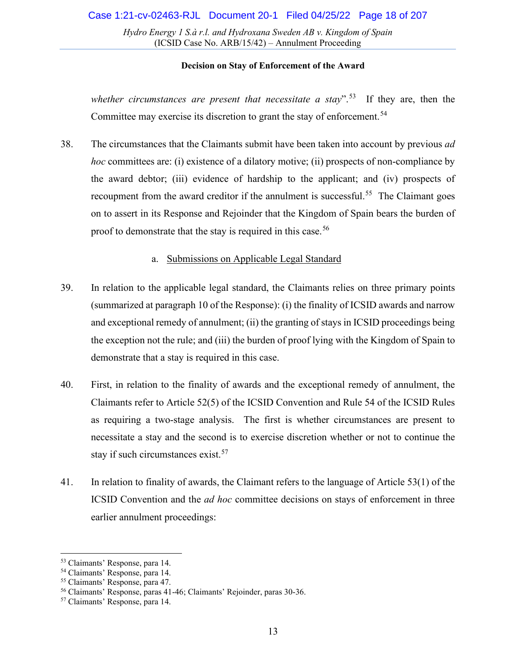#### **Decision on Stay of Enforcement of the Award**

*whether circumstances are present that necessitate a stay*".[53](#page-12-1) If they are, then the Committee may exercise its discretion to grant the stay of enforcement.<sup>[54](#page-12-2)</sup>

38. The circumstances that the Claimants submit have been taken into account by previous *ad hoc* committees are: (i) existence of a dilatory motive; (ii) prospects of non-compliance by the award debtor; (iii) evidence of hardship to the applicant; and (iv) prospects of recoupment from the award creditor if the annulment is successful.<sup>55</sup> The Claimant goes on to assert in its Response and Rejoinder that the Kingdom of Spain bears the burden of proof to demonstrate that the stay is required in this case.<sup>[56](#page-12-4)</sup>

### a. Submissions on Applicable Legal Standard

- <span id="page-12-0"></span>39. In relation to the applicable legal standard, the Claimants relies on three primary points (summarized at paragraph 10 of the Response): (i) the finality of ICSID awards and narrow and exceptional remedy of annulment; (ii) the granting of stays in ICSID proceedings being the exception not the rule; and (iii) the burden of proof lying with the Kingdom of Spain to demonstrate that a stay is required in this case.
- 40. First, in relation to the finality of awards and the exceptional remedy of annulment, the Claimants refer to Article 52(5) of the ICSID Convention and Rule 54 of the ICSID Rules as requiring a two-stage analysis. The first is whether circumstances are present to necessitate a stay and the second is to exercise discretion whether or not to continue the stay if such circumstances exist. [57](#page-12-5)
- 41. In relation to finality of awards, the Claimant refers to the language of Article 53(1) of the ICSID Convention and the *ad hoc* committee decisions on stays of enforcement in three earlier annulment proceedings:

<span id="page-12-1"></span><sup>53</sup> Claimants' Response, para 14.

<span id="page-12-2"></span><sup>54</sup> Claimants' Response, para 14.

<span id="page-12-3"></span><sup>55</sup> Claimants' Response, para 47.

<span id="page-12-4"></span><sup>56</sup> Claimants' Response, paras 41-46; Claimants' Rejoinder, paras 30-36.

<span id="page-12-5"></span><sup>57</sup> Claimants' Response, para 14.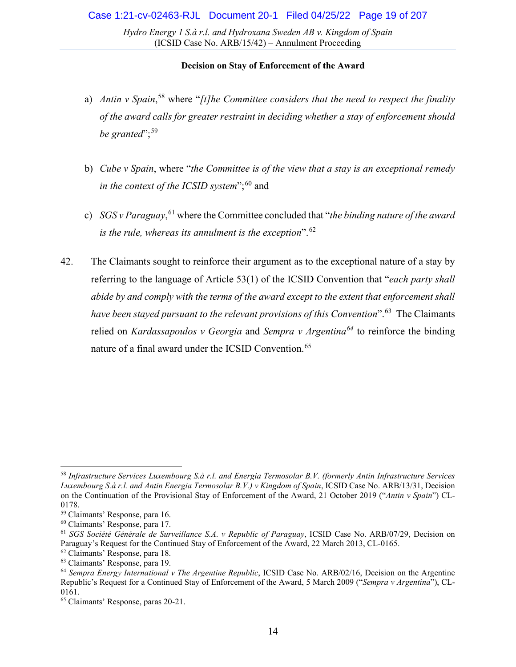- a) *Antin v Spain*, [58](#page-13-0) where "*[t]he Committee considers that the need to respect the finality of the award calls for greater restraint in deciding whether a stay of enforcement should be granted*";<sup>[59](#page-13-1)</sup>
- b) *Cube v Spain*, where "*the Committee is of the view that a stay is an exceptional remedy in the context of the ICSID system*";<sup>[60](#page-13-2)</sup> and
- c) *SGS v Paraguay*, [61](#page-13-3) where the Committee concluded that "*the binding nature of the award is the rule, whereas its annulment is the exception*".[62](#page-13-4)
- 42. The Claimants sought to reinforce their argument as to the exceptional nature of a stay by referring to the language of Article 53(1) of the ICSID Convention that "*each party shall abide by and comply with the terms of the award except to the extent that enforcement shall*  have been stayed pursuant to the relevant provisions of this Convention<sup>". [63](#page-13-5)</sup> The Claimants relied on *Kardassapoulos v Georgia* and *Sempra v Argentina[64](#page-13-6)* to reinforce the binding nature of a final award under the ICSID Convention. [65](#page-13-7)

<span id="page-13-0"></span><sup>58</sup> *Infrastructure Services Luxembourg S.à r.l. and Energia Termosolar B.V. (formerly Antin Infrastructure Services Luxembourg S.à r.l. and Antin Energia Termosolar B.V.) v Kingdom of Spain*, ICSID Case No. ARB/13/31, Decision on the Continuation of the Provisional Stay of Enforcement of the Award, 21 October 2019 ("*Antin v Spain*") CL-0178.

<span id="page-13-1"></span><sup>59</sup> Claimants' Response, para 16.

<span id="page-13-2"></span><sup>60</sup> Claimants' Response, para 17.

<span id="page-13-3"></span><sup>61</sup> *SGS Société Générale de Surveillance S.A. v Republic of Paraguay*, ICSID Case No. ARB/07/29, Decision on Paraguay's Request for the Continued Stay of Enforcement of the Award, 22 March 2013, CL-0165.

<span id="page-13-4"></span><sup>62</sup> Claimants' Response, para 18.

<span id="page-13-5"></span><sup>63</sup> Claimants' Response, para 19.

<span id="page-13-6"></span><sup>64</sup> *Sempra Energy International v The Argentine Republic*, ICSID Case No. ARB/02/16, Decision on the Argentine Republic's Request for a Continued Stay of Enforcement of the Award, 5 March 2009 ("*Sempra v Argentina*"), CL-0161.

<span id="page-13-7"></span><sup>65</sup> Claimants' Response, paras 20-21.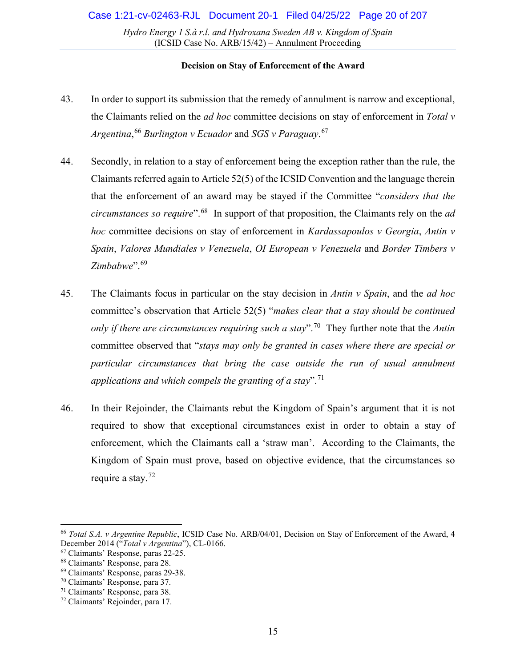- 43. In order to support its submission that the remedy of annulment is narrow and exceptional, the Claimants relied on the *ad hoc* committee decisions on stay of enforcement in *Total v Argentina*, [66](#page-14-0) *Burlington v Ecuador* and *SGS v Paraguay*. [67](#page-14-1)
- 44. Secondly, in relation to a stay of enforcement being the exception rather than the rule, the Claimants referred again to Article 52(5) of the ICSID Convention and the language therein that the enforcement of an award may be stayed if the Committee "*considers that the circumstances so require*".[68](#page-14-2) In support of that proposition, the Claimants rely on the *ad hoc* committee decisions on stay of enforcement in *Kardassapoulos v Georgia*, *Antin v Spain*, *Valores Mundiales v Venezuela*, *OI European v Venezuela* and *Border Timbers v Zimbabwe*". [69](#page-14-3)
- 45. The Claimants focus in particular on the stay decision in *Antin v Spain*, and the *ad hoc*  committee's observation that Article 52(5) "*makes clear that a stay should be continued only if there are circumstances requiring such a stay*".[70](#page-14-4) They further note that the *Antin*  committee observed that "*stays may only be granted in cases where there are special or particular circumstances that bring the case outside the run of usual annulment applications and which compels the granting of a stay*". [71](#page-14-5)
- 46. In their Rejoinder, the Claimants rebut the Kingdom of Spain's argument that it is not required to show that exceptional circumstances exist in order to obtain a stay of enforcement, which the Claimants call a 'straw man'. According to the Claimants, the Kingdom of Spain must prove, based on objective evidence, that the circumstances so require a stay. $^{72}$  $^{72}$  $^{72}$

<span id="page-14-0"></span><sup>66</sup> *Total S.A. v Argentine Republic*, ICSID Case No. ARB/04/01, Decision on Stay of Enforcement of the Award, 4 December 2014 ("*Total v Argentina*"), CL-0166.

<span id="page-14-1"></span><sup>67</sup> Claimants' Response, paras 22-25.

<span id="page-14-2"></span><sup>68</sup> Claimants' Response, para 28.

<span id="page-14-3"></span><sup>69</sup> Claimants' Response, paras 29-38.

<span id="page-14-4"></span><sup>70</sup> Claimants' Response, para 37.

<span id="page-14-5"></span><sup>71</sup> Claimants' Response, para 38.

<span id="page-14-6"></span><sup>72</sup> Claimants' Rejoinder, para 17.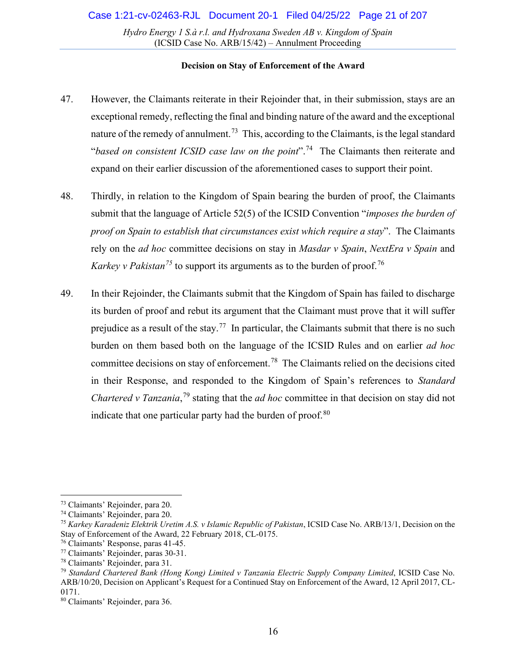- 47. However, the Claimants reiterate in their Rejoinder that, in their submission, stays are an exceptional remedy, reflecting the final and binding nature of the award and the exceptional nature of the remedy of annulment.<sup>73</sup> This, according to the Claimants, is the legal standard "*based on consistent ICSID case law on the point*".[74](#page-15-1) The Claimants then reiterate and expand on their earlier discussion of the aforementioned cases to support their point.
- 48. Thirdly, in relation to the Kingdom of Spain bearing the burden of proof, the Claimants submit that the language of Article 52(5) of the ICSID Convention "*imposes the burden of proof on Spain to establish that circumstances exist which require a stay*". The Claimants rely on the *ad hoc* committee decisions on stay in *Masdar v Spain*, *NextEra v Spain* and *Karkey v Pakistan*<sup>[75](#page-15-2)</sup> to support its arguments as to the burden of proof.<sup>[76](#page-15-3)</sup>
- 49. In their Rejoinder, the Claimants submit that the Kingdom of Spain has failed to discharge its burden of proof and rebut its argument that the Claimant must prove that it will suffer prejudice as a result of the stay.<sup>[77](#page-15-4)</sup> In particular, the Claimants submit that there is no such burden on them based both on the language of the ICSID Rules and on earlier *ad hoc*  committee decisions on stay of enforcement. [78](#page-15-5) The Claimants relied on the decisions cited in their Response, and responded to the Kingdom of Spain's references to *Standard Chartered v Tanzania*, [79](#page-15-6) stating that the *ad hoc* committee in that decision on stay did not indicate that one particular party had the burden of proof. $80$

<span id="page-15-0"></span><sup>73</sup> Claimants' Rejoinder, para 20.

<span id="page-15-1"></span><sup>74</sup> Claimants' Rejoinder, para 20.

<span id="page-15-2"></span><sup>75</sup> *Karkey Karadeniz Elektrik Uretim A.S. v Islamic Republic of Pakistan*, ICSID Case No. ARB/13/1, Decision on the Stay of Enforcement of the Award, 22 February 2018, CL-0175.

<span id="page-15-3"></span><sup>76</sup> Claimants' Response, paras 41-45.

<span id="page-15-4"></span><sup>77</sup> Claimants' Rejoinder, paras 30-31.

<span id="page-15-5"></span><sup>78</sup> Claimants' Rejoinder, para 31.

<span id="page-15-6"></span><sup>79</sup> *Standard Chartered Bank (Hong Kong) Limited v Tanzania Electric Supply Company Limited*, ICSID Case No. ARB/10/20, Decision on Applicant's Request for a Continued Stay on Enforcement of the Award, 12 April 2017, CL-0171.

<span id="page-15-7"></span><sup>80</sup> Claimants' Rejoinder, para 36.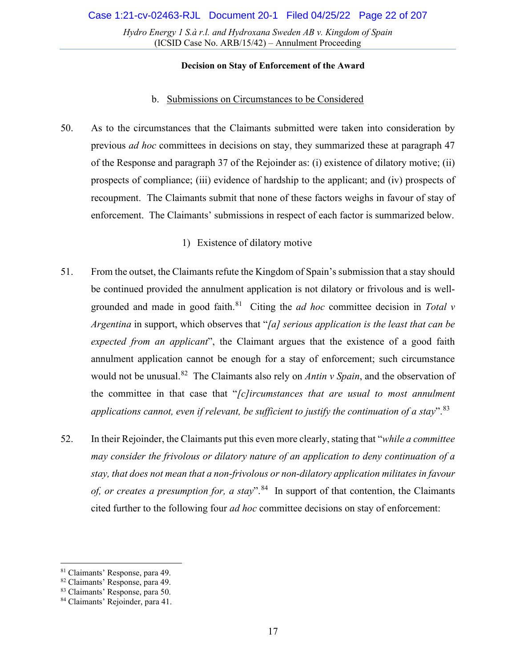### **Decision on Stay of Enforcement of the Award**

### b. Submissions on Circumstances to be Considered

<span id="page-16-0"></span>50. As to the circumstances that the Claimants submitted were taken into consideration by previous *ad hoc* committees in decisions on stay, they summarized these at paragraph 47 of the Response and paragraph 37 of the Rejoinder as: (i) existence of dilatory motive; (ii) prospects of compliance; (iii) evidence of hardship to the applicant; and (iv) prospects of recoupment. The Claimants submit that none of these factors weighs in favour of stay of enforcement. The Claimants' submissions in respect of each factor is summarized below.

# 1) Existence of dilatory motive

- 51. From the outset, the Claimants refute the Kingdom of Spain's submission that a stay should be continued provided the annulment application is not dilatory or frivolous and is wellgrounded and made in good faith.<sup>81</sup> Citing the *ad hoc* committee decision in *Total v Argentina* in support, which observes that "*[a] serious application is the least that can be expected from an applicant*", the Claimant argues that the existence of a good faith annulment application cannot be enough for a stay of enforcement; such circumstance would not be unusual.[82](#page-16-2) The Claimants also rely on *Antin v Spain*, and the observation of the committee in that case that "*[c]ircumstances that are usual to most annulment applications cannot, even if relevant, be sufficient to justify the continuation of a stay*".[83](#page-16-3)
- 52. In their Rejoinder, the Claimants put this even more clearly, stating that "*while a committee may consider the frivolous or dilatory nature of an application to deny continuation of a stay, that does not mean that a non-frivolous or non-dilatory application militates in favour of, or creates a presumption for, a stay*". [84](#page-16-4) In support of that contention, the Claimants cited further to the following four *ad hoc* committee decisions on stay of enforcement:

<span id="page-16-1"></span><sup>81</sup> Claimants' Response, para 49.

<span id="page-16-2"></span><sup>82</sup> Claimants' Response, para 49.

<span id="page-16-3"></span><sup>83</sup> Claimants' Response, para 50.

<span id="page-16-4"></span><sup>84</sup> Claimants' Rejoinder, para 41.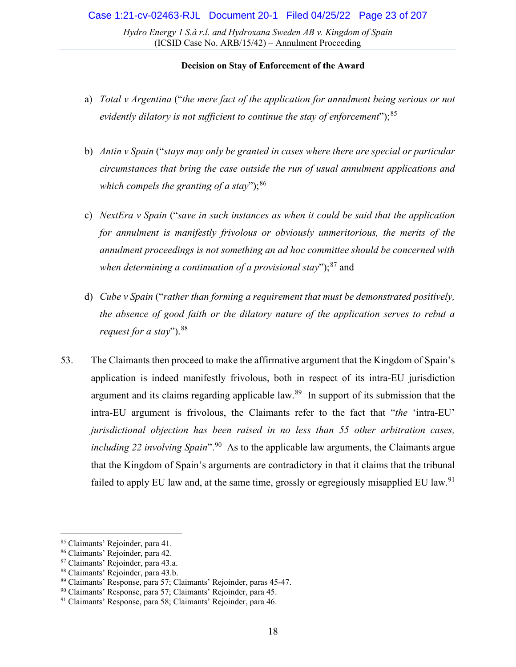- a) *Total v Argentina* ("*the mere fact of the application for annulment being serious or not evidently dilatory is not sufficient to continue the stay of enforcement*");[85](#page-17-0)
- b) *Antin v Spain* ("*stays may only be granted in cases where there are special or particular circumstances that bring the case outside the run of usual annulment applications and which compels the granting of a stay*");<sup>[86](#page-17-1)</sup>
- c) *NextEra v Spain* ("*save in such instances as when it could be said that the application for annulment is manifestly frivolous or obviously unmeritorious, the merits of the annulment proceedings is not something an ad hoc committee should be concerned with*  when determining a continuation of a provisional stay");<sup>[87](#page-17-2)</sup> and
- d) *Cube v Spain* ("*rather than forming a requirement that must be demonstrated positively, the absence of good faith or the dilatory nature of the application serves to rebut a request for a stay*"). <sup>[88](#page-17-3)</sup>
- 53. The Claimants then proceed to make the affirmative argument that the Kingdom of Spain's application is indeed manifestly frivolous, both in respect of its intra-EU jurisdiction argument and its claims regarding applicable law.[89](#page-17-4) In support of its submission that the intra-EU argument is frivolous, the Claimants refer to the fact that "*the* 'intra-EU' *jurisdictional objection has been raised in no less than 55 other arbitration cases, including 22 involving Spain*". [90](#page-17-5) As to the applicable law arguments, the Claimants argue that the Kingdom of Spain's arguments are contradictory in that it claims that the tribunal failed to apply EU law and, at the same time, grossly or egregiously misapplied EU law.<sup>[91](#page-17-6)</sup>

<span id="page-17-0"></span><sup>85</sup> Claimants' Rejoinder, para 41.

<span id="page-17-1"></span><sup>86</sup> Claimants' Rejoinder, para 42.

<span id="page-17-2"></span><sup>87</sup> Claimants' Rejoinder, para 43.a.

<span id="page-17-3"></span><sup>88</sup> Claimants' Rejoinder, para 43.b.

<span id="page-17-4"></span><sup>89</sup> Claimants' Response, para 57; Claimants' Rejoinder, paras 45-47.

<span id="page-17-5"></span><sup>&</sup>lt;sup>90</sup> Claimants' Response, para 57; Claimants' Rejoinder, para 45.

<span id="page-17-6"></span><sup>91</sup> Claimants' Response, para 58; Claimants' Rejoinder, para 46.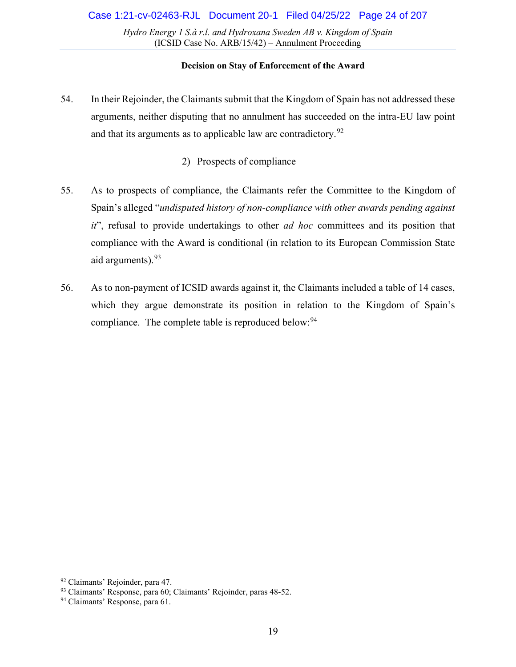- 54. In their Rejoinder, the Claimants submit that the Kingdom of Spain has not addressed these arguments, neither disputing that no annulment has succeeded on the intra-EU law point and that its arguments as to applicable law are contradictory.<sup>[92](#page-18-0)</sup>
	- 2) Prospects of compliance
- 55. As to prospects of compliance, the Claimants refer the Committee to the Kingdom of Spain's alleged "*undisputed history of non-compliance with other awards pending against it*", refusal to provide undertakings to other *ad hoc* committees and its position that compliance with the Award is conditional (in relation to its European Commission State aid arguments).<sup>[93](#page-18-1)</sup>
- 56. As to non-payment of ICSID awards against it, the Claimants included a table of 14 cases, which they argue demonstrate its position in relation to the Kingdom of Spain's compliance. The complete table is reproduced below:<sup>[94](#page-18-2)</sup>

<span id="page-18-0"></span><sup>92</sup> Claimants' Rejoinder, para 47.

<span id="page-18-1"></span><sup>93</sup> Claimants' Response, para 60; Claimants' Rejoinder, paras 48-52.

<span id="page-18-2"></span><sup>&</sup>lt;sup>94</sup> Claimants' Response, para 61.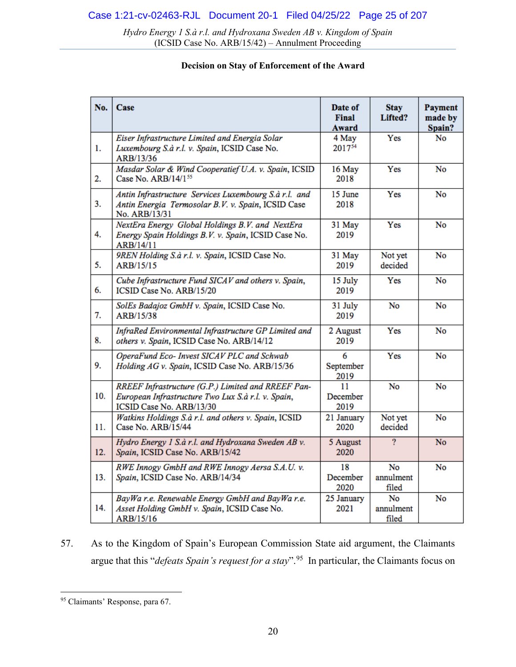### **Decision on Stay of Enforcement of the Award**

| No. | Case                                                                                                                                 | Date of<br>Final<br>Award | <b>Stay</b><br>Lifted?   | Payment<br>made by<br>Spain? |
|-----|--------------------------------------------------------------------------------------------------------------------------------------|---------------------------|--------------------------|------------------------------|
| 1.  | Eiser Infrastructure Limited and Energia Solar<br>Luxembourg S.à r.l. v. Spain, ICSID Case No.<br>ARB/13/36                          | 4 May<br>201754           | Yes                      | No                           |
| 2.  | Masdar Solar & Wind Cooperatief U.A. v. Spain, ICSID<br>Case No. ARB/14/155                                                          | 16 May<br>2018            | Yes                      | <b>No</b>                    |
| 3.  | Antin Infrastructure Services Luxembourg S.à r.l. and<br>Antin Energia Termosolar B.V. v. Spain, ICSID Case<br>No. ARB/13/31         | 15 June<br>2018           | Yes                      | No                           |
| 4.  | NextEra Energy Global Holdings B.V. and NextEra<br>Energy Spain Holdings B.V. v. Spain, ICSID Case No.<br>ARB/14/11                  | 31 May<br>2019            | Yes                      | No                           |
| 5.  | 9REN Holding S.à r.l. v. Spain, ICSID Case No.<br>ARB/15/15                                                                          | 31 May<br>2019            | Not yet<br>decided       | No                           |
| 6.  | Cube Infrastructure Fund SICAV and others v. Spain,<br>ICSID Case No. ARB/15/20                                                      | 15 July<br>2019           | Yes                      | No                           |
| 7.  | SolEs Badajoz GmbH v. Spain, ICSID Case No.<br>ARB/15/38                                                                             | 31 July<br>2019           | No                       | No                           |
| 8.  | InfraRed Environmental Infrastructure GP Limited and<br>others v. Spain, ICSID Case No. ARB/14/12                                    | 2 August<br>2019          | Yes                      | No                           |
| 9.  | OperaFund Eco- Invest SICAV PLC and Schwab<br>Holding AG v. Spain, ICSID Case No. ARB/15/36                                          | 6<br>September<br>2019    | Yes                      | No                           |
| 10. | RREEF Infrastructure (G.P.) Limited and RREEF Pan-<br>European Infrastructure Two Lux S.à r.l. v. Spain,<br>ICSID Case No. ARB/13/30 | 11<br>December<br>2019    | No                       | No                           |
| 11. | Watkins Holdings S.à r.l. and others v. Spain, ICSID<br>Case No. ARB/15/44                                                           | 21 January<br>2020        | Not yet<br>decided       | <b>No</b>                    |
| 12. | Hydro Energy 1 S.à r.l. and Hydroxana Sweden AB v.<br>Spain, ICSID Case No. ARB/15/42                                                | 5 August<br>2020          | $\overline{?}$           | No                           |
| 13. | RWE Innogy GmbH and RWE Innogy Aersa S.A.U. v.<br>Spain, ICSID Case No. ARB/14/34                                                    | 18<br>December<br>2020    | No<br>annulment<br>filed | No                           |
| 14. | BayWa r.e. Renewable Energy GmbH and BayWa r.e.<br>Asset Holding GmbH v. Spain, ICSID Case No.<br>ARB/15/16                          | 25 January<br>2021        | No<br>annulment<br>filed | No                           |

57. As to the Kingdom of Spain's European Commission State aid argument, the Claimants argue that this "*defeats Spain's request for a stay*".[95](#page-19-0) In particular, the Claimants focus on

<span id="page-19-0"></span><sup>95</sup> Claimants' Response, para 67.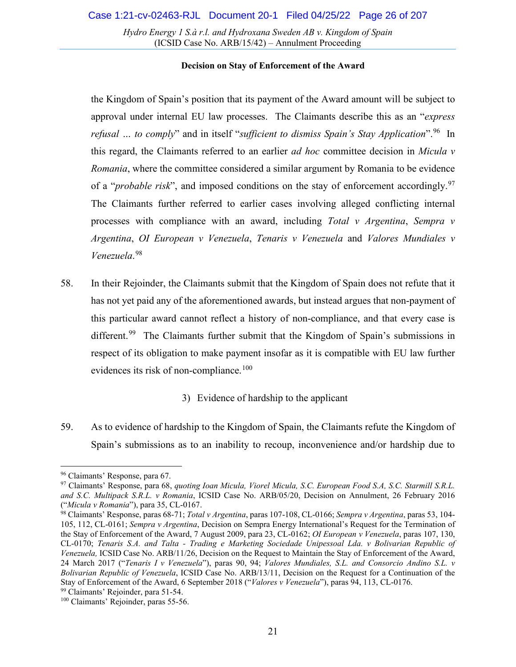### **Decision on Stay of Enforcement of the Award**

the Kingdom of Spain's position that its payment of the Award amount will be subject to approval under internal EU law processes. The Claimants describe this as an "*express refusal … to comply*" and in itself "*sufficient to dismiss Spain's Stay Application*".[96](#page-20-0) In this regard, the Claimants referred to an earlier *ad hoc* committee decision in *Micula v Romania*, where the committee considered a similar argument by Romania to be evidence of a "*probable risk*", and imposed conditions on the stay of enforcement accordingly.<sup>[97](#page-20-1)</sup> The Claimants further referred to earlier cases involving alleged conflicting internal processes with compliance with an award, including *Total v Argentina*, *Sempra v Argentina*, *OI European v Venezuela*, *Tenaris v Venezuela* and *Valores Mundiales v Venezuela*. [98](#page-20-2)

58. In their Rejoinder, the Claimants submit that the Kingdom of Spain does not refute that it has not yet paid any of the aforementioned awards, but instead argues that non-payment of this particular award cannot reflect a history of non-compliance, and that every case is different.<sup>[99](#page-20-3)</sup> The Claimants further submit that the Kingdom of Spain's submissions in respect of its obligation to make payment insofar as it is compatible with EU law further evidences its risk of non-compliance.<sup>[100](#page-20-4)</sup>

3) Evidence of hardship to the applicant

59. As to evidence of hardship to the Kingdom of Spain, the Claimants refute the Kingdom of Spain's submissions as to an inability to recoup, inconvenience and/or hardship due to

<span id="page-20-0"></span><sup>96</sup> Claimants' Response, para 67.

<span id="page-20-1"></span><sup>97</sup> Claimants' Response, para 68, *quoting Ioan Micula, Viorel Micula, S.C. European Food S.A, S.C. Starmill S.R.L. and S.C. Multipack S.R.L. v Romania*, ICSID Case No. ARB/05/20, Decision on Annulment, 26 February 2016 ("*Micula v Romania*"), para 35, CL-0167.

<span id="page-20-2"></span><sup>98</sup> Claimants' Response, paras 68-71; *Total v Argentina*, paras 107-108, CL-0166; *Sempra v Argentina*, paras 53, 104- 105, 112, CL-0161; *Sempra v Argentina*, Decision on Sempra Energy International's Request for the Termination of the Stay of Enforcement of the Award, 7 August 2009, para 23, CL-0162; *OI European v Venezuela*, paras 107, 130, CL-0170; *Tenaris S.A. and Talta - Trading e Marketing Sociedade Unipessoal Lda. v Bolivarian Republic of Venezuela,* ICSID Case No. ARB/11/26, Decision on the Request to Maintain the Stay of Enforcement of the Award, 24 March 2017 ("*Tenaris I v Venezuela*"), paras 90, 94; *Valores Mundiales, S.L. and Consorcio Andino S.L. v Bolivarian Republic of Venezuela*, ICSID Case No. ARB/13/11, Decision on the Request for a Continuation of the Stay of Enforcement of the Award, 6 September 2018 ("*Valores v Venezuela*"), paras 94, 113, CL-0176. 99 Claimants' Rejoinder, para 51-54.

<span id="page-20-4"></span><span id="page-20-3"></span><sup>100</sup> Claimants' Rejoinder, paras 55-56.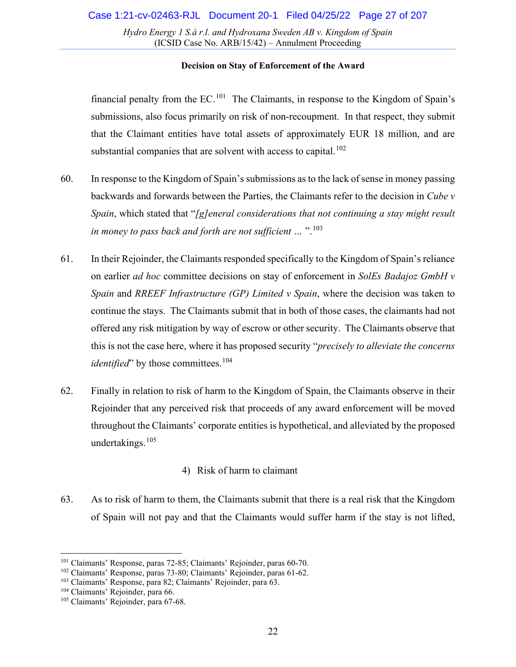### **Decision on Stay of Enforcement of the Award**

financial penalty from the  $EC$ <sup>[101](#page-21-0)</sup> The Claimants, in response to the Kingdom of Spain's submissions, also focus primarily on risk of non-recoupment. In that respect, they submit that the Claimant entities have total assets of approximately EUR 18 million, and are substantial companies that are solvent with access to capital.<sup>[102](#page-21-1)</sup>

- 60. In response to the Kingdom of Spain's submissions as to the lack of sense in money passing backwards and forwards between the Parties, the Claimants refer to the decision in *Cube v Spain*, which stated that "*[g]eneral considerations that not continuing a stay might result in money to pass back and forth are not sufficient …* ". [103](#page-21-2)
- 61. In their Rejoinder, the Claimants responded specifically to the Kingdom of Spain's reliance on earlier *ad hoc* committee decisions on stay of enforcement in *SolEs Badajoz GmbH v Spain* and *RREEF Infrastructure (GP) Limited v Spain*, where the decision was taken to continue the stays. The Claimants submit that in both of those cases, the claimants had not offered any risk mitigation by way of escrow or other security. The Claimants observe that this is not the case here, where it has proposed security "*precisely to alleviate the concerns identified*" by those committees.<sup>[104](#page-21-3)</sup>
- 62. Finally in relation to risk of harm to the Kingdom of Spain, the Claimants observe in their Rejoinder that any perceived risk that proceeds of any award enforcement will be moved throughout the Claimants' corporate entities is hypothetical, and alleviated by the proposed undertakings. [105](#page-21-4)

# 4) Risk of harm to claimant

<span id="page-21-5"></span>63. As to risk of harm to them, the Claimants submit that there is a real risk that the Kingdom of Spain will not pay and that the Claimants would suffer harm if the stay is not lifted,

<span id="page-21-0"></span><sup>101</sup> Claimants' Response, paras 72-85; Claimants' Rejoinder, paras 60-70.

<span id="page-21-1"></span><sup>102</sup> Claimants' Response, paras 73-80; Claimants' Rejoinder, paras 61-62.

<span id="page-21-2"></span><sup>103</sup> Claimants' Response, para 82; Claimants' Rejoinder, para 63.

<span id="page-21-3"></span><sup>&</sup>lt;sup>104</sup> Claimants' Rejoinder, para 66.

<span id="page-21-4"></span><sup>&</sup>lt;sup>105</sup> Claimants' Rejoinder, para 67-68.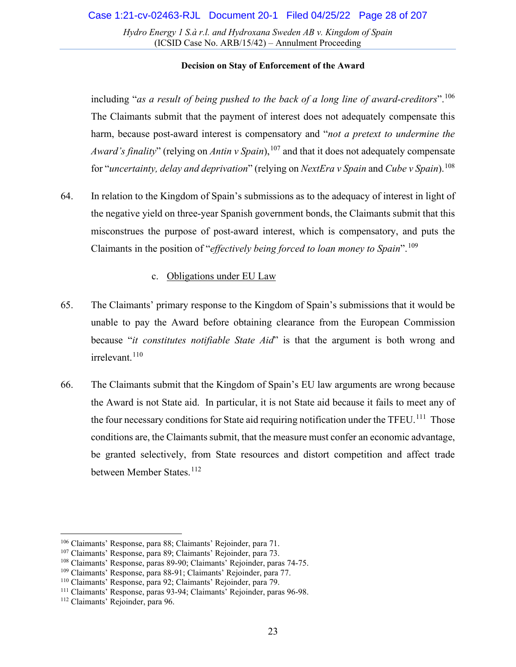### **Decision on Stay of Enforcement of the Award**

including "*as a result of being pushed to the back of a long line of award-creditors*".[106](#page-22-1) The Claimants submit that the payment of interest does not adequately compensate this harm, because post-award interest is compensatory and "*not a pretext to undermine the Award's finality*" (relying on *Antin v Spain*), [107](#page-22-2) and that it does not adequately compensate for "*uncertainty, delay and deprivation*" (relying on *NextEra v Spain* and *Cube v Spain*).[108](#page-22-3)

64. In relation to the Kingdom of Spain's submissions as to the adequacy of interest in light of the negative yield on three-year Spanish government bonds, the Claimants submit that this misconstrues the purpose of post-award interest, which is compensatory, and puts the Claimants in the position of "*effectively being forced to loan money to Spain*".[109](#page-22-4)

### c. Obligations under EU Law

- <span id="page-22-0"></span>65. The Claimants' primary response to the Kingdom of Spain's submissions that it would be unable to pay the Award before obtaining clearance from the European Commission because "*it constitutes notifiable State Aid*" is that the argument is both wrong and irrelevant.<sup>[110](#page-22-5)</sup>
- 66. The Claimants submit that the Kingdom of Spain's EU law arguments are wrong because the Award is not State aid. In particular, it is not State aid because it fails to meet any of the four necessary conditions for State aid requiring notification under the TFEU.<sup>[111](#page-22-6)</sup> Those conditions are, the Claimants submit, that the measure must confer an economic advantage, be granted selectively, from State resources and distort competition and affect trade between Member States.<sup>[112](#page-22-7)</sup>

<span id="page-22-1"></span><sup>106</sup> Claimants' Response, para 88; Claimants' Rejoinder, para 71.

<span id="page-22-2"></span><sup>107</sup> Claimants' Response, para 89; Claimants' Rejoinder, para 73.

<span id="page-22-3"></span><sup>108</sup> Claimants' Response, paras 89-90; Claimants' Rejoinder, paras 74-75.

<span id="page-22-4"></span><sup>109</sup> Claimants' Response, para 88-91; Claimants' Rejoinder, para 77.

<span id="page-22-5"></span><sup>110</sup> Claimants' Response, para 92; Claimants' Rejoinder, para 79.

<span id="page-22-6"></span><sup>111</sup> Claimants' Response, paras 93-94; Claimants' Rejoinder, paras 96-98.

<span id="page-22-7"></span><sup>112</sup> Claimants' Rejoinder, para 96.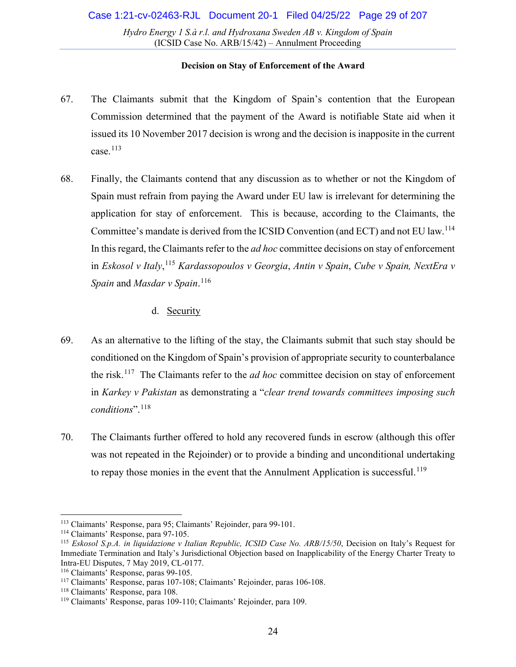### **Decision on Stay of Enforcement of the Award**

- 67. The Claimants submit that the Kingdom of Spain's contention that the European Commission determined that the payment of the Award is notifiable State aid when it issued its 10 November 2017 decision is wrong and the decision is inapposite in the current case. $^{113}$  $^{113}$  $^{113}$
- <span id="page-23-8"></span>68. Finally, the Claimants contend that any discussion as to whether or not the Kingdom of Spain must refrain from paying the Award under EU law is irrelevant for determining the application for stay of enforcement. This is because, according to the Claimants, the Committee's mandate is derived from the ICSID Convention (and ECT) and not EU law.[114](#page-23-2) In this regard, the Claimants refer to the *ad hoc* committee decisions on stay of enforcement in *Eskosol v Italy*, [115](#page-23-3) *Kardassopoulos v Georgia*, *Antin v Spain*, *Cube v Spain, NextEra v Spain* and *Masdar v Spain*. [116](#page-23-4)

# d. Security

- <span id="page-23-0"></span>69. As an alternative to the lifting of the stay, the Claimants submit that such stay should be conditioned on the Kingdom of Spain's provision of appropriate security to counterbalance the risk.[117](#page-23-5) The Claimants refer to the *ad hoc* committee decision on stay of enforcement in *Karkey v Pakistan* as demonstrating a "*clear trend towards committees imposing such conditions*".[118](#page-23-6)
- 70. The Claimants further offered to hold any recovered funds in escrow (although this offer was not repeated in the Rejoinder) or to provide a binding and unconditional undertaking to repay those monies in the event that the Annulment Application is successful.<sup>[119](#page-23-7)</sup>

<span id="page-23-1"></span><sup>113</sup> Claimants' Response, para 95; Claimants' Rejoinder, para 99-101.

<span id="page-23-2"></span><sup>114</sup> Claimants' Response, para 97-105.

<span id="page-23-3"></span><sup>115</sup> *Eskosol S.p.A. in liquidazione v Italian Republic, ICSID Case No. ARB/15/50*, Decision on Italy's Request for Immediate Termination and Italy's Jurisdictional Objection based on Inapplicability of the Energy Charter Treaty to Intra-EU Disputes, 7 May 2019, CL-0177.

<span id="page-23-4"></span><sup>116</sup> Claimants' Response, paras 99-105.

<span id="page-23-5"></span><sup>117</sup> Claimants' Response, paras 107-108; Claimants' Rejoinder, paras 106-108.

<span id="page-23-6"></span><sup>118</sup> Claimants' Response, para 108.

<span id="page-23-7"></span><sup>119</sup> Claimants' Response, paras 109-110; Claimants' Rejoinder, para 109.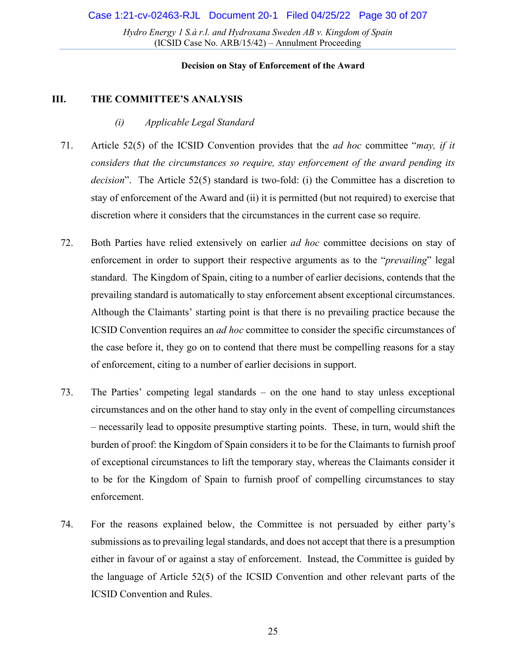#### **Decision on Stay of Enforcement of the Award**

### <span id="page-24-1"></span><span id="page-24-0"></span>**III. THE COMMITTEE'S ANALYSIS**

- *(i) Applicable Legal Standard*
- 71. Article 52(5) of the ICSID Convention provides that the *ad hoc* committee "*may, if it considers that the circumstances so require, stay enforcement of the award pending its decision*". The Article 52(5) standard is two-fold: (i) the Committee has a discretion to stay of enforcement of the Award and (ii) it is permitted (but not required) to exercise that discretion where it considers that the circumstances in the current case so require.
- 72. Both Parties have relied extensively on earlier *ad hoc* committee decisions on stay of enforcement in order to support their respective arguments as to the "*prevailing*" legal standard. The Kingdom of Spain, citing to a number of earlier decisions, contends that the prevailing standard is automatically to stay enforcement absent exceptional circumstances. Although the Claimants' starting point is that there is no prevailing practice because the ICSID Convention requires an *ad hoc* committee to consider the specific circumstances of the case before it, they go on to contend that there must be compelling reasons for a stay of enforcement, citing to a number of earlier decisions in support.
- 73. The Parties' competing legal standards on the one hand to stay unless exceptional circumstances and on the other hand to stay only in the event of compelling circumstances – necessarily lead to opposite presumptive starting points. These, in turn, would shift the burden of proof: the Kingdom of Spain considers it to be for the Claimants to furnish proof of exceptional circumstances to lift the temporary stay, whereas the Claimants consider it to be for the Kingdom of Spain to furnish proof of compelling circumstances to stay enforcement.
- 74. For the reasons explained below, the Committee is not persuaded by either party's submissions as to prevailing legal standards, and does not accept that there is a presumption either in favour of or against a stay of enforcement. Instead, the Committee is guided by the language of Article 52(5) of the ICSID Convention and other relevant parts of the ICSID Convention and Rules.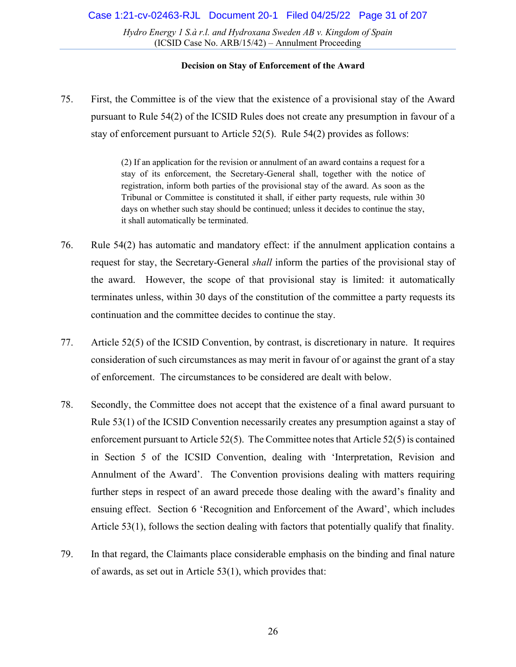#### **Decision on Stay of Enforcement of the Award**

75. First, the Committee is of the view that the existence of a provisional stay of the Award pursuant to Rule 54(2) of the ICSID Rules does not create any presumption in favour of a stay of enforcement pursuant to Article 52(5). Rule 54(2) provides as follows:

> (2) If an application for the revision or annulment of an award contains a request for a stay of its enforcement, the Secretary-General shall, together with the notice of registration, inform both parties of the provisional stay of the award. As soon as the Tribunal or Committee is constituted it shall, if either party requests, rule within 30 days on whether such stay should be continued; unless it decides to continue the stay, it shall automatically be terminated.

- 76. Rule 54(2) has automatic and mandatory effect: if the annulment application contains a request for stay, the Secretary-General *shall* inform the parties of the provisional stay of the award. However, the scope of that provisional stay is limited: it automatically terminates unless, within 30 days of the constitution of the committee a party requests its continuation and the committee decides to continue the stay.
- 77. Article 52(5) of the ICSID Convention, by contrast, is discretionary in nature. It requires consideration of such circumstances as may merit in favour of or against the grant of a stay of enforcement. The circumstances to be considered are dealt with below.
- 78. Secondly, the Committee does not accept that the existence of a final award pursuant to Rule 53(1) of the ICSID Convention necessarily creates any presumption against a stay of enforcement pursuant to Article 52(5). The Committee notes that Article 52(5) is contained in Section 5 of the ICSID Convention, dealing with 'Interpretation, Revision and Annulment of the Award'. The Convention provisions dealing with matters requiring further steps in respect of an award precede those dealing with the award's finality and ensuing effect. Section 6 'Recognition and Enforcement of the Award', which includes Article 53(1), follows the section dealing with factors that potentially qualify that finality.
- 79. In that regard, the Claimants place considerable emphasis on the binding and final nature of awards, as set out in Article 53(1), which provides that: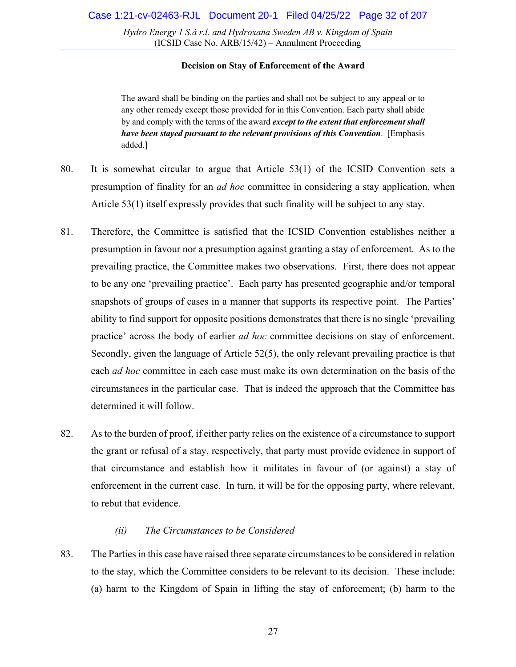### **Decision on Stay of Enforcement of the Award**

The award shall be binding on the parties and shall not be subject to any appeal or to any other remedy except those provided for in this Convention. Each party shall abide by and comply with the terms of the award *except to the extent that enforcement shall have been stayed pursuant to the relevant provisions of this Convention*. [Emphasis added.]

- 80. It is somewhat circular to argue that Article 53(1) of the ICSID Convention sets a presumption of finality for an *ad hoc* committee in considering a stay application, when Article 53(1) itself expressly provides that such finality will be subject to any stay.
- 81. Therefore, the Committee is satisfied that the ICSID Convention establishes neither a presumption in favour nor a presumption against granting a stay of enforcement. As to the prevailing practice, the Committee makes two observations. First, there does not appear to be any one 'prevailing practice'. Each party has presented geographic and/or temporal snapshots of groups of cases in a manner that supports its respective point. The Parties' ability to find support for opposite positions demonstrates that there is no single 'prevailing practice' across the body of earlier *ad hoc* committee decisions on stay of enforcement. Secondly, given the language of Article 52(5), the only relevant prevailing practice is that each *ad hoc* committee in each case must make its own determination on the basis of the circumstances in the particular case. That is indeed the approach that the Committee has determined it will follow.
- 82. As to the burden of proof, if either party relies on the existence of a circumstance to support the grant or refusal of a stay, respectively, that party must provide evidence in support of that circumstance and establish how it militates in favour of (or against) a stay of enforcement in the current case. In turn, it will be for the opposing party, where relevant, to rebut that evidence.

### *(ii) The Circumstances to be Considered*

<span id="page-26-0"></span>83. The Parties in this case have raised three separate circumstances to be considered in relation to the stay, which the Committee considers to be relevant to its decision. These include: (a) harm to the Kingdom of Spain in lifting the stay of enforcement; (b) harm to the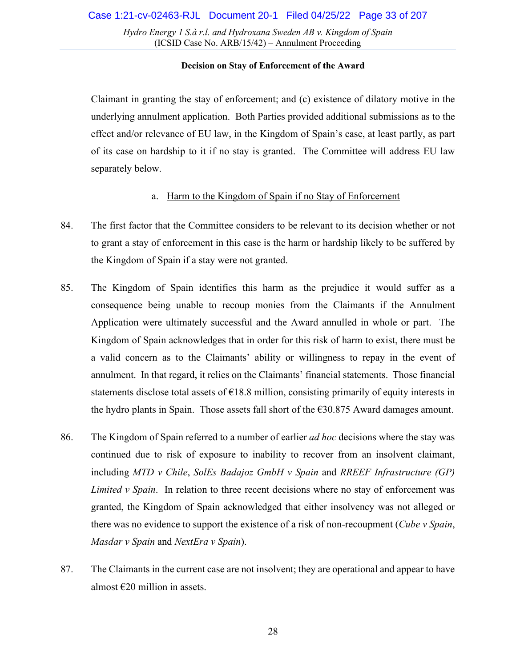### **Decision on Stay of Enforcement of the Award**

Claimant in granting the stay of enforcement; and (c) existence of dilatory motive in the underlying annulment application. Both Parties provided additional submissions as to the effect and/or relevance of EU law, in the Kingdom of Spain's case, at least partly, as part of its case on hardship to it if no stay is granted. The Committee will address EU law separately below.

### a. Harm to the Kingdom of Spain if no Stay of Enforcement

- <span id="page-27-0"></span>84. The first factor that the Committee considers to be relevant to its decision whether or not to grant a stay of enforcement in this case is the harm or hardship likely to be suffered by the Kingdom of Spain if a stay were not granted.
- 85. The Kingdom of Spain identifies this harm as the prejudice it would suffer as a consequence being unable to recoup monies from the Claimants if the Annulment Application were ultimately successful and the Award annulled in whole or part. The Kingdom of Spain acknowledges that in order for this risk of harm to exist, there must be a valid concern as to the Claimants' ability or willingness to repay in the event of annulment. In that regard, it relies on the Claimants' financial statements. Those financial statements disclose total assets of  $\epsilon$ 18.8 million, consisting primarily of equity interests in the hydro plants in Spain. Those assets fall short of the  $\epsilon$ 30.875 Award damages amount.
- 86. The Kingdom of Spain referred to a number of earlier *ad hoc* decisions where the stay was continued due to risk of exposure to inability to recover from an insolvent claimant, including *MTD v Chile*, *SolEs Badajoz GmbH v Spain* and *RREEF Infrastructure (GP) Limited v Spain*. In relation to three recent decisions where no stay of enforcement was granted, the Kingdom of Spain acknowledged that either insolvency was not alleged or there was no evidence to support the existence of a risk of non-recoupment (*Cube v Spain*, *Masdar v Spain* and *NextEra v Spain*).
- 87. The Claimants in the current case are not insolvent; they are operational and appear to have almost  $\epsilon$ 20 million in assets.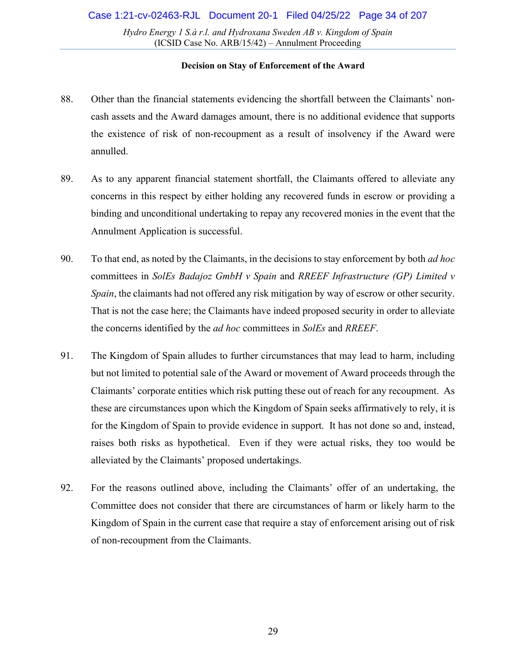- 88. Other than the financial statements evidencing the shortfall between the Claimants' noncash assets and the Award damages amount, there is no additional evidence that supports the existence of risk of non-recoupment as a result of insolvency if the Award were annulled.
- 89. As to any apparent financial statement shortfall, the Claimants offered to alleviate any concerns in this respect by either holding any recovered funds in escrow or providing a binding and unconditional undertaking to repay any recovered monies in the event that the Annulment Application is successful.
- 90. To that end, as noted by the Claimants, in the decisions to stay enforcement by both *ad hoc*  committees in *SolEs Badajoz GmbH v Spain* and *RREEF Infrastructure (GP) Limited v Spain*, the claimants had not offered any risk mitigation by way of escrow or other security. That is not the case here; the Claimants have indeed proposed security in order to alleviate the concerns identified by the *ad hoc* committees in *SolEs* and *RREEF*.
- 91. The Kingdom of Spain alludes to further circumstances that may lead to harm, including but not limited to potential sale of the Award or movement of Award proceeds through the Claimants' corporate entities which risk putting these out of reach for any recoupment. As these are circumstances upon which the Kingdom of Spain seeks affirmatively to rely, it is for the Kingdom of Spain to provide evidence in support. It has not done so and, instead, raises both risks as hypothetical. Even if they were actual risks, they too would be alleviated by the Claimants' proposed undertakings.
- 92. For the reasons outlined above, including the Claimants' offer of an undertaking, the Committee does not consider that there are circumstances of harm or likely harm to the Kingdom of Spain in the current case that require a stay of enforcement arising out of risk of non-recoupment from the Claimants.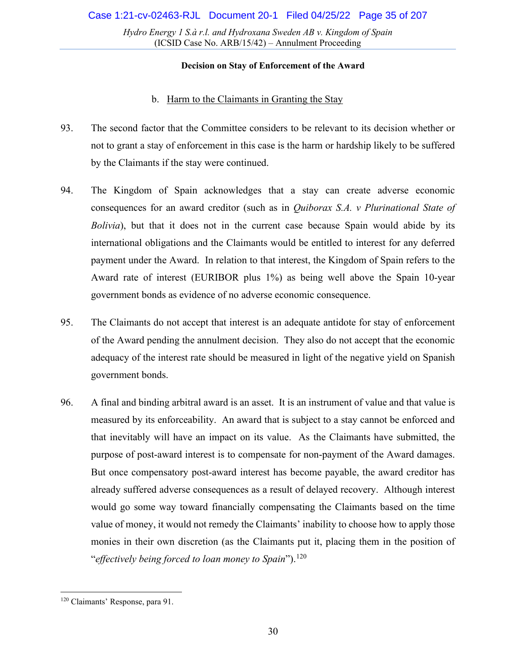### **Decision on Stay of Enforcement of the Award**

### b. Harm to the Claimants in Granting the Stay

- <span id="page-29-0"></span>93. The second factor that the Committee considers to be relevant to its decision whether or not to grant a stay of enforcement in this case is the harm or hardship likely to be suffered by the Claimants if the stay were continued.
- 94. The Kingdom of Spain acknowledges that a stay can create adverse economic consequences for an award creditor (such as in *Quiborax S.A. v Plurinational State of Bolivia*), but that it does not in the current case because Spain would abide by its international obligations and the Claimants would be entitled to interest for any deferred payment under the Award. In relation to that interest, the Kingdom of Spain refers to the Award rate of interest (EURIBOR plus 1%) as being well above the Spain 10-year government bonds as evidence of no adverse economic consequence.
- 95. The Claimants do not accept that interest is an adequate antidote for stay of enforcement of the Award pending the annulment decision. They also do not accept that the economic adequacy of the interest rate should be measured in light of the negative yield on Spanish government bonds.
- 96. A final and binding arbitral award is an asset. It is an instrument of value and that value is measured by its enforceability. An award that is subject to a stay cannot be enforced and that inevitably will have an impact on its value. As the Claimants have submitted, the purpose of post-award interest is to compensate for non-payment of the Award damages. But once compensatory post-award interest has become payable, the award creditor has already suffered adverse consequences as a result of delayed recovery. Although interest would go some way toward financially compensating the Claimants based on the time value of money, it would not remedy the Claimants' inability to choose how to apply those monies in their own discretion (as the Claimants put it, placing them in the position of "*effectively being forced to loan money to Spain*"). [120](#page-29-1)

<span id="page-29-1"></span><sup>120</sup> Claimants' Response, para 91.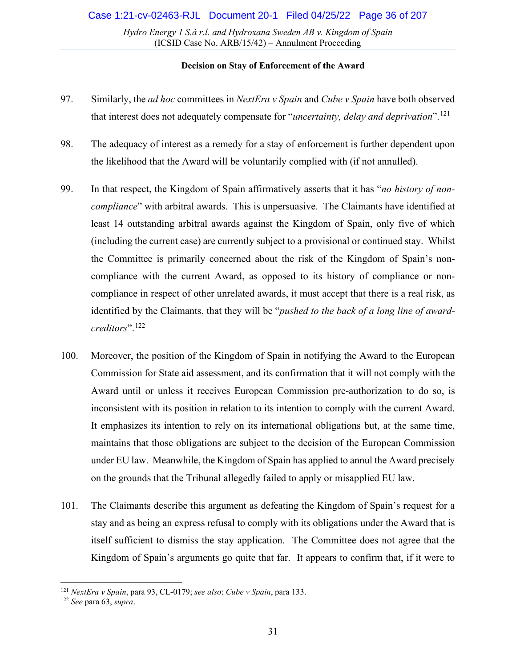- 97. Similarly, the *ad hoc* committees in *NextEra v Spain* and *Cube v Spain* have both observed that interest does not adequately compensate for "*uncertainty, delay and deprivation*".[121](#page-30-0)
- 98. The adequacy of interest as a remedy for a stay of enforcement is further dependent upon the likelihood that the Award will be voluntarily complied with (if not annulled).
- 99. In that respect, the Kingdom of Spain affirmatively asserts that it has "*no history of noncompliance*" with arbitral awards. This is unpersuasive. The Claimants have identified at least 14 outstanding arbitral awards against the Kingdom of Spain, only five of which (including the current case) are currently subject to a provisional or continued stay. Whilst the Committee is primarily concerned about the risk of the Kingdom of Spain's noncompliance with the current Award, as opposed to its history of compliance or noncompliance in respect of other unrelated awards, it must accept that there is a real risk, as identified by the Claimants, that they will be "*pushed to the back of a long line of awardcreditors*".[122](#page-30-1)
- 100. Moreover, the position of the Kingdom of Spain in notifying the Award to the European Commission for State aid assessment, and its confirmation that it will not comply with the Award until or unless it receives European Commission pre-authorization to do so, is inconsistent with its position in relation to its intention to comply with the current Award. It emphasizes its intention to rely on its international obligations but, at the same time, maintains that those obligations are subject to the decision of the European Commission under EU law. Meanwhile, the Kingdom of Spain has applied to annul the Award precisely on the grounds that the Tribunal allegedly failed to apply or misapplied EU law.
- 101. The Claimants describe this argument as defeating the Kingdom of Spain's request for a stay and as being an express refusal to comply with its obligations under the Award that is itself sufficient to dismiss the stay application. The Committee does not agree that the Kingdom of Spain's arguments go quite that far. It appears to confirm that, if it were to

<span id="page-30-0"></span><sup>121</sup> *NextEra v Spain*, para 93, CL-0179; *see also*: *Cube v Spain*, para 133. 122 *See* para [63,](#page-21-5) *supra*.

<span id="page-30-1"></span>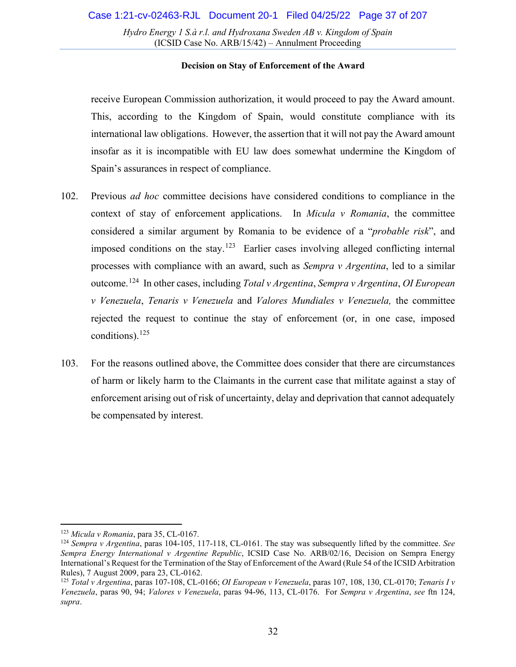### **Decision on Stay of Enforcement of the Award**

receive European Commission authorization, it would proceed to pay the Award amount. This, according to the Kingdom of Spain, would constitute compliance with its international law obligations. However, the assertion that it will not pay the Award amount insofar as it is incompatible with EU law does somewhat undermine the Kingdom of Spain's assurances in respect of compliance.

- 102. Previous *ad hoc* committee decisions have considered conditions to compliance in the context of stay of enforcement applications. In *Micula v Romania*, the committee considered a similar argument by Romania to be evidence of a "*probable risk*", and imposed conditions on the stay.<sup>123</sup> Earlier cases involving alleged conflicting internal processes with compliance with an award, such as *Sempra v Argentina*, led to a similar outcome.[124](#page-31-2) In other cases, including *Total v Argentina*, *Sempra v Argentina*, *OI European v Venezuela*, *Tenaris v Venezuela* and *Valores Mundiales v Venezuela,* the committee rejected the request to continue the stay of enforcement (or, in one case, imposed conditions). $^{125}$
- <span id="page-31-0"></span>103. For the reasons outlined above, the Committee does consider that there are circumstances of harm or likely harm to the Claimants in the current case that militate against a stay of enforcement arising out of risk of uncertainty, delay and deprivation that cannot adequately be compensated by interest.

<span id="page-31-2"></span><span id="page-31-1"></span><sup>&</sup>lt;sup>123</sup> *Micula v Romania*, para 35, CL-0167.<br><sup>124</sup> *Sempra v Argentina*, paras 104-105, 117-118, CL-0161. The stay was subsequently lifted by the committee. *See Sempra Energy International v Argentine Republic*, ICSID Case No. ARB/02/16, Decision on Sempra Energy International's Request for the Termination of the Stay of Enforcement of the Award (Rule 54 of the ICSID Arbitration Rules), 7 August 2009, para 23, CL-0162.

<span id="page-31-3"></span><sup>125</sup> *Total v Argentina*, paras 107-108, CL-0166; *OI European v Venezuela*, paras 107, 108, 130, CL-0170; *Tenaris I v Venezuela*, paras 90, 94; *Valores v Venezuela*, paras 94-96, 113, CL-0176. For *Sempra v Argentina*, *see* ftn [124,](#page-31-0)  *supra*.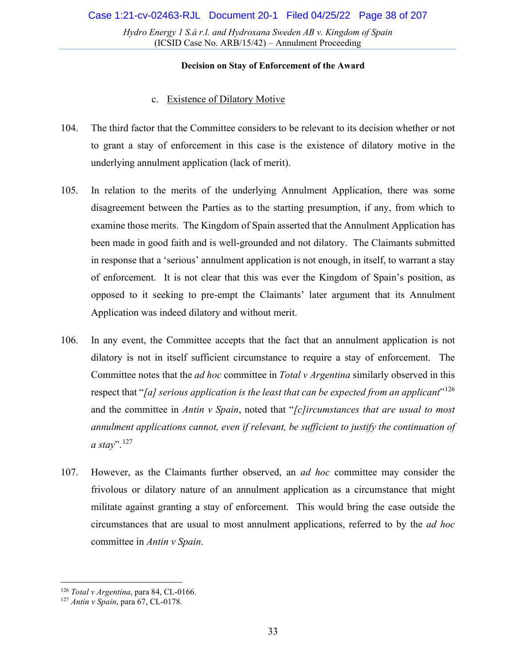### **Decision on Stay of Enforcement of the Award**

### c. Existence of Dilatory Motive

- <span id="page-32-0"></span>104. The third factor that the Committee considers to be relevant to its decision whether or not to grant a stay of enforcement in this case is the existence of dilatory motive in the underlying annulment application (lack of merit).
- 105. In relation to the merits of the underlying Annulment Application, there was some disagreement between the Parties as to the starting presumption, if any, from which to examine those merits. The Kingdom of Spain asserted that the Annulment Application has been made in good faith and is well-grounded and not dilatory. The Claimants submitted in response that a 'serious' annulment application is not enough, in itself, to warrant a stay of enforcement. It is not clear that this was ever the Kingdom of Spain's position, as opposed to it seeking to pre-empt the Claimants' later argument that its Annulment Application was indeed dilatory and without merit.
- 106. In any event, the Committee accepts that the fact that an annulment application is not dilatory is not in itself sufficient circumstance to require a stay of enforcement. The Committee notes that the *ad hoc* committee in *Total v Argentina* similarly observed in this respect that "*[a] serious application is the least that can be expected from an applicant*"[126](#page-32-1) and the committee in *Antin v Spain*, noted that "*[c]ircumstances that are usual to most annulment applications cannot, even if relevant, be sufficient to justify the continuation of a stay*".[127](#page-32-2)
- 107. However, as the Claimants further observed, an *ad hoc* committee may consider the frivolous or dilatory nature of an annulment application as a circumstance that might militate against granting a stay of enforcement. This would bring the case outside the circumstances that are usual to most annulment applications, referred to by the *ad hoc*  committee in *Antin v Spain*.

<span id="page-32-1"></span><sup>126</sup> *Total v Argentina*, para 84, CL-0166.

<span id="page-32-2"></span><sup>127</sup> *Antin v Spain*, para 67, CL-0178.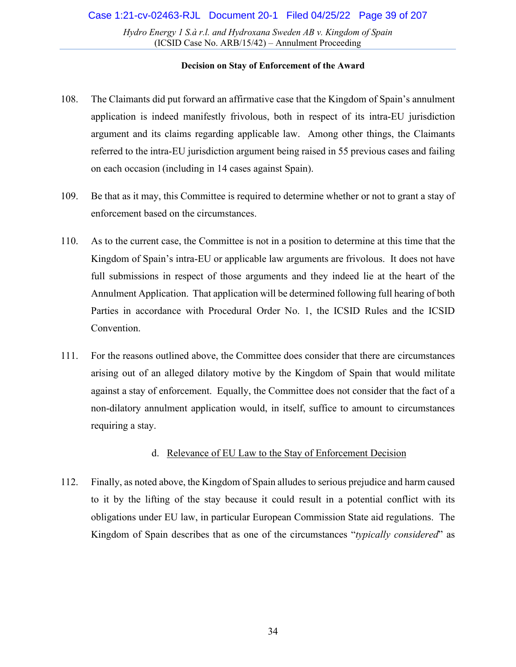### **Decision on Stay of Enforcement of the Award**

- 108. The Claimants did put forward an affirmative case that the Kingdom of Spain's annulment application is indeed manifestly frivolous, both in respect of its intra-EU jurisdiction argument and its claims regarding applicable law. Among other things, the Claimants referred to the intra-EU jurisdiction argument being raised in 55 previous cases and failing on each occasion (including in 14 cases against Spain).
- 109. Be that as it may, this Committee is required to determine whether or not to grant a stay of enforcement based on the circumstances.
- 110. As to the current case, the Committee is not in a position to determine at this time that the Kingdom of Spain's intra-EU or applicable law arguments are frivolous. It does not have full submissions in respect of those arguments and they indeed lie at the heart of the Annulment Application. That application will be determined following full hearing of both Parties in accordance with Procedural Order No. 1, the ICSID Rules and the ICSID Convention.
- 111. For the reasons outlined above, the Committee does consider that there are circumstances arising out of an alleged dilatory motive by the Kingdom of Spain that would militate against a stay of enforcement. Equally, the Committee does not consider that the fact of a non-dilatory annulment application would, in itself, suffice to amount to circumstances requiring a stay.

# d. Relevance of EU Law to the Stay of Enforcement Decision

<span id="page-33-0"></span>112. Finally, as noted above, the Kingdom of Spain alludes to serious prejudice and harm caused to it by the lifting of the stay because it could result in a potential conflict with its obligations under EU law, in particular European Commission State aid regulations. The Kingdom of Spain describes that as one of the circumstances "*typically considered*" as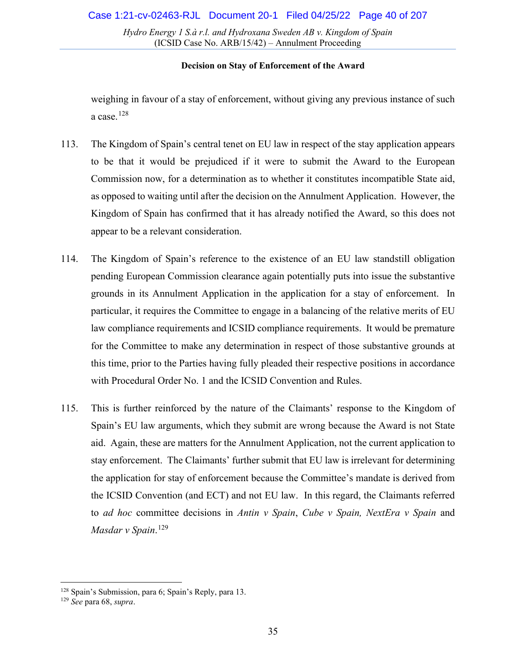### **Decision on Stay of Enforcement of the Award**

weighing in favour of a stay of enforcement, without giving any previous instance of such a case. [128](#page-34-0)

- 113. The Kingdom of Spain's central tenet on EU law in respect of the stay application appears to be that it would be prejudiced if it were to submit the Award to the European Commission now, for a determination as to whether it constitutes incompatible State aid, as opposed to waiting until after the decision on the Annulment Application. However, the Kingdom of Spain has confirmed that it has already notified the Award, so this does not appear to be a relevant consideration.
- 114. The Kingdom of Spain's reference to the existence of an EU law standstill obligation pending European Commission clearance again potentially puts into issue the substantive grounds in its Annulment Application in the application for a stay of enforcement. In particular, it requires the Committee to engage in a balancing of the relative merits of EU law compliance requirements and ICSID compliance requirements. It would be premature for the Committee to make any determination in respect of those substantive grounds at this time, prior to the Parties having fully pleaded their respective positions in accordance with Procedural Order No. 1 and the ICSID Convention and Rules.
- 115. This is further reinforced by the nature of the Claimants' response to the Kingdom of Spain's EU law arguments, which they submit are wrong because the Award is not State aid. Again, these are matters for the Annulment Application, not the current application to stay enforcement. The Claimants' further submit that EU law is irrelevant for determining the application for stay of enforcement because the Committee's mandate is derived from the ICSID Convention (and ECT) and not EU law. In this regard, the Claimants referred to *ad hoc* committee decisions in *Antin v Spain*, *Cube v Spain, NextEra v Spain* and *Masdar v Spain*. [129](#page-34-1)

<span id="page-34-0"></span><sup>128</sup> Spain's Submission, para 6; Spain's Reply, para 13.

<span id="page-34-1"></span><sup>129</sup> *See* para [68,](#page-23-8) *supra*.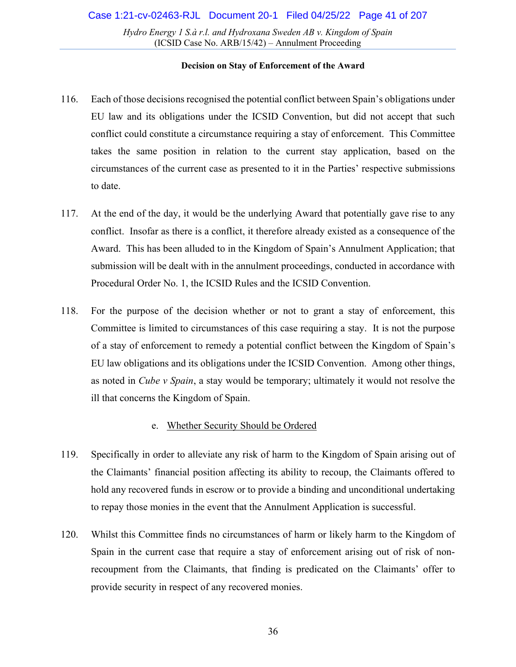### **Decision on Stay of Enforcement of the Award**

- 116. Each of those decisions recognised the potential conflict between Spain's obligations under EU law and its obligations under the ICSID Convention, but did not accept that such conflict could constitute a circumstance requiring a stay of enforcement. This Committee takes the same position in relation to the current stay application, based on the circumstances of the current case as presented to it in the Parties' respective submissions to date.
- 117. At the end of the day, it would be the underlying Award that potentially gave rise to any conflict. Insofar as there is a conflict, it therefore already existed as a consequence of the Award. This has been alluded to in the Kingdom of Spain's Annulment Application; that submission will be dealt with in the annulment proceedings, conducted in accordance with Procedural Order No. 1, the ICSID Rules and the ICSID Convention.
- 118. For the purpose of the decision whether or not to grant a stay of enforcement, this Committee is limited to circumstances of this case requiring a stay. It is not the purpose of a stay of enforcement to remedy a potential conflict between the Kingdom of Spain's EU law obligations and its obligations under the ICSID Convention. Among other things, as noted in *Cube v Spain*, a stay would be temporary; ultimately it would not resolve the ill that concerns the Kingdom of Spain.

### e. Whether Security Should be Ordered

- <span id="page-35-0"></span>119. Specifically in order to alleviate any risk of harm to the Kingdom of Spain arising out of the Claimants' financial position affecting its ability to recoup, the Claimants offered to hold any recovered funds in escrow or to provide a binding and unconditional undertaking to repay those monies in the event that the Annulment Application is successful.
- 120. Whilst this Committee finds no circumstances of harm or likely harm to the Kingdom of Spain in the current case that require a stay of enforcement arising out of risk of nonrecoupment from the Claimants, that finding is predicated on the Claimants' offer to provide security in respect of any recovered monies.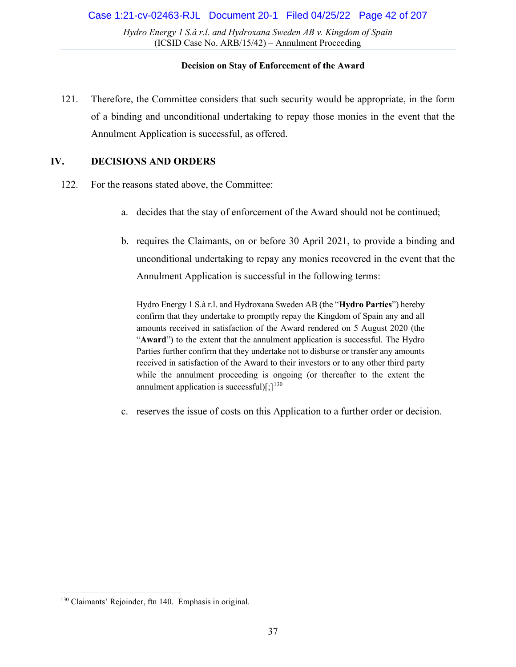### **Decision on Stay of Enforcement of the Award**

121. Therefore, the Committee considers that such security would be appropriate, in the form of a binding and unconditional undertaking to repay those monies in the event that the Annulment Application is successful, as offered.

# <span id="page-36-0"></span>**IV. DECISIONS AND ORDERS**

- 122. For the reasons stated above, the Committee:
	- a. decides that the stay of enforcement of the Award should not be continued;
	- b. requires the Claimants, on or before 30 April 2021, to provide a binding and unconditional undertaking to repay any monies recovered in the event that the Annulment Application is successful in the following terms:

Hydro Energy 1 S.à r.l. and Hydroxana Sweden AB (the "**Hydro Parties**") hereby confirm that they undertake to promptly repay the Kingdom of Spain any and all amounts received in satisfaction of the Award rendered on 5 August 2020 (the "**Award**") to the extent that the annulment application is successful. The Hydro Parties further confirm that they undertake not to disburse or transfer any amounts received in satisfaction of the Award to their investors or to any other third party while the annulment proceeding is ongoing (or thereafter to the extent the annulment application is successful) $[;]^{130}$  $[;]^{130}$  $[;]^{130}$ 

c. reserves the issue of costs on this Application to a further order or decision.

<span id="page-36-1"></span><sup>130</sup> Claimants' Rejoinder, ftn 140. Emphasis in original.